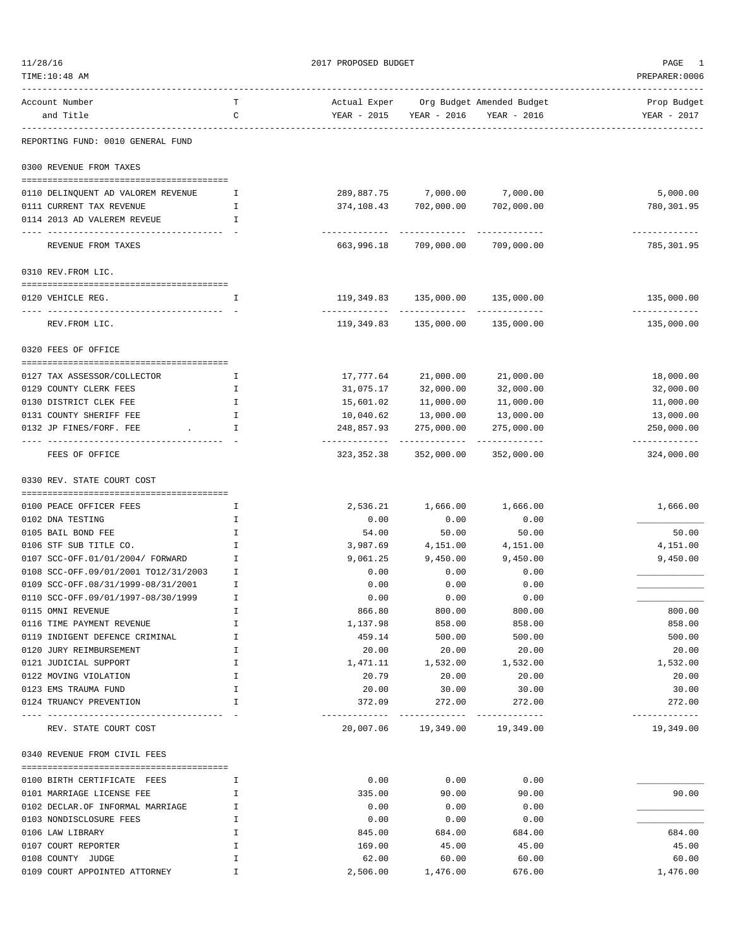| 11/28/16                                        |         | 2017 PROPOSED BUDGET      | PAGE                             |                                        |                             |
|-------------------------------------------------|---------|---------------------------|----------------------------------|----------------------------------------|-----------------------------|
| TIME:10:48 AM                                   |         |                           | PREPARER: 0006                   |                                        |                             |
| Account Number                                  | T       |                           |                                  | Actual Exper Org Budget Amended Budget | Prop Budget                 |
| and Title                                       | C       | YEAR - 2015               | YEAR - 2016                      | YEAR - 2016                            | YEAR - 2017                 |
| REPORTING FUND: 0010 GENERAL FUND               |         |                           |                                  |                                        |                             |
| 0300 REVENUE FROM TAXES                         |         |                           |                                  |                                        |                             |
|                                                 |         |                           |                                  |                                        |                             |
| 0110 DELINQUENT AD VALOREM REVENUE              | Ι.      |                           | 289,887.75 7,000.00              | 7,000.00                               | 5,000.00                    |
| 0111 CURRENT TAX REVENUE                        | Ι.      |                           | 374,108.43 702,000.00            | 702,000.00                             | 780,301.95                  |
| 0114 2013 AD VALEREM REVEUE                     | I.      |                           |                                  |                                        | -----------                 |
| REVENUE FROM TAXES                              |         |                           | 663,996.18 709,000.00 709,000.00 |                                        | 785,301.95                  |
| 0310 REV.FROM LIC.                              |         |                           |                                  |                                        |                             |
| 0120 VEHICLE REG.                               | Ι.      |                           | 119,349.83 135,000.00 135,000.00 |                                        | 135,000.00                  |
| REV. FROM LIC.                                  |         |                           | 119,349.83 135,000.00            | 135,000.00                             | -------------<br>135,000.00 |
| 0320 FEES OF OFFICE                             |         |                           |                                  |                                        |                             |
|                                                 |         |                           |                                  |                                        |                             |
| 0127 TAX ASSESSOR/COLLECTOR                     | Ι.      | 17,777.64                 | 21,000.00                        | 21,000.00                              | 18,000.00                   |
| 0129 COUNTY CLERK FEES                          | I.      | 31,075.17                 | 32,000.00                        | 32,000.00                              | 32,000.00                   |
| 0130 DISTRICT CLEK FEE                          | I       | 15,601.02                 | 11,000.00                        | 11,000.00                              | 11,000.00                   |
| 0131 COUNTY SHERIFF FEE                         | I       | 10,040.62                 | 13,000.00                        | 13,000.00                              | 13,000.00                   |
| 0132 JP FINES/FORF. FEE                         | I       | 248,857.93                | 275,000.00                       | 275,000.00                             | 250,000.00                  |
| FEES OF OFFICE                                  |         | -----------<br>323,352.38 | -------------<br>352,000.00      | ------------<br>352,000.00             | ------------<br>324,000.00  |
| 0330 REV. STATE COURT COST                      |         |                           |                                  |                                        |                             |
|                                                 |         |                           |                                  |                                        |                             |
| 0100 PEACE OFFICER FEES<br>0102 DNA TESTING     | Ι.<br>I | 2,536.21<br>0.00          | 1,666.00<br>0.00                 | 1,666.00<br>0.00                       | 1,666.00                    |
| 0105 BAIL BOND FEE                              | I       | 54.00                     | 50.00                            | 50.00                                  | 50.00                       |
| 0106 STF SUB TITLE CO.                          | I       | 3,987.69                  | 4,151.00                         | 4,151.00                               | 4,151.00                    |
| 0107 SCC-OFF.01/01/2004/ FORWARD                | I       | 9,061.25                  | 9,450.00                         | 9,450.00                               | 9,450.00                    |
| 0108 SCC-OFF.09/01/2001 TO12/31/2003            | I       | 0.00                      | 0.00                             | 0.00                                   |                             |
| 0109 SCC-OFF.08/31/1999-08/31/2001              | I       | 0.00                      | 0.00                             | 0.00                                   |                             |
| 0110 SCC-OFF.09/01/1997-08/30/1999              | I       | 0.00                      | 0.00                             | 0.00                                   |                             |
| 0115 OMNI REVENUE                               | Ι       | 866.80                    | 800.00                           | 800.00                                 | 800.00                      |
| 0116 TIME PAYMENT REVENUE                       | Ι       | 1,137.98                  | 858.00                           | 858.00                                 | 858.00                      |
| 0119 INDIGENT DEFENCE CRIMINAL                  | I       | 459.14                    | 500.00                           | 500.00                                 | 500.00                      |
| 0120 JURY REIMBURSEMENT                         | I       | 20.00                     | 20.00                            | 20.00                                  | 20.00                       |
| 0121 JUDICIAL SUPPORT                           | I       | 1,471.11                  | 1,532.00                         | 1,532.00                               | 1,532.00                    |
| 0122 MOVING VIOLATION                           | I       | 20.79                     | 20.00                            | 20.00                                  | 20.00                       |
| 0123 EMS TRAUMA FUND<br>0124 TRUANCY PREVENTION | Ι<br>I  | 20.00<br>372.09           | 30.00<br>272.00                  | 30.00<br>272.00                        | 30.00<br>272.00             |
| --------------                                  |         | .                         | -----------                      | ------------<br>19,349.00              | -------------               |
| REV. STATE COURT COST                           |         |                           | 20,007.06 19,349.00              |                                        | 19,349.00                   |
| 0340 REVENUE FROM CIVIL FEES                    |         |                           |                                  |                                        |                             |
| 0100 BIRTH CERTIFICATE FEES                     | I.      | 0.00                      | 0.00                             | 0.00                                   |                             |
| 0101 MARRIAGE LICENSE FEE                       | I       | 335.00                    | 90.00                            | 90.00                                  | 90.00                       |
| 0102 DECLAR.OF INFORMAL MARRIAGE                | I       | 0.00                      | 0.00                             | 0.00                                   |                             |
| 0103 NONDISCLOSURE FEES                         | I       | 0.00                      | 0.00                             | 0.00                                   |                             |
| 0106 LAW LIBRARY                                | Ι       | 845.00                    | 684.00                           | 684.00                                 | 684.00                      |
| 0107 COURT REPORTER                             | I       | 169.00                    | 45.00                            | 45.00                                  | 45.00                       |
| 0108 COUNTY JUDGE                               | I       | 62.00                     | 60.00                            | 60.00                                  | 60.00                       |
| 0109 COURT APPOINTED ATTORNEY                   | I       | 2,506.00                  | 1,476.00                         | 676.00                                 | 1,476.00                    |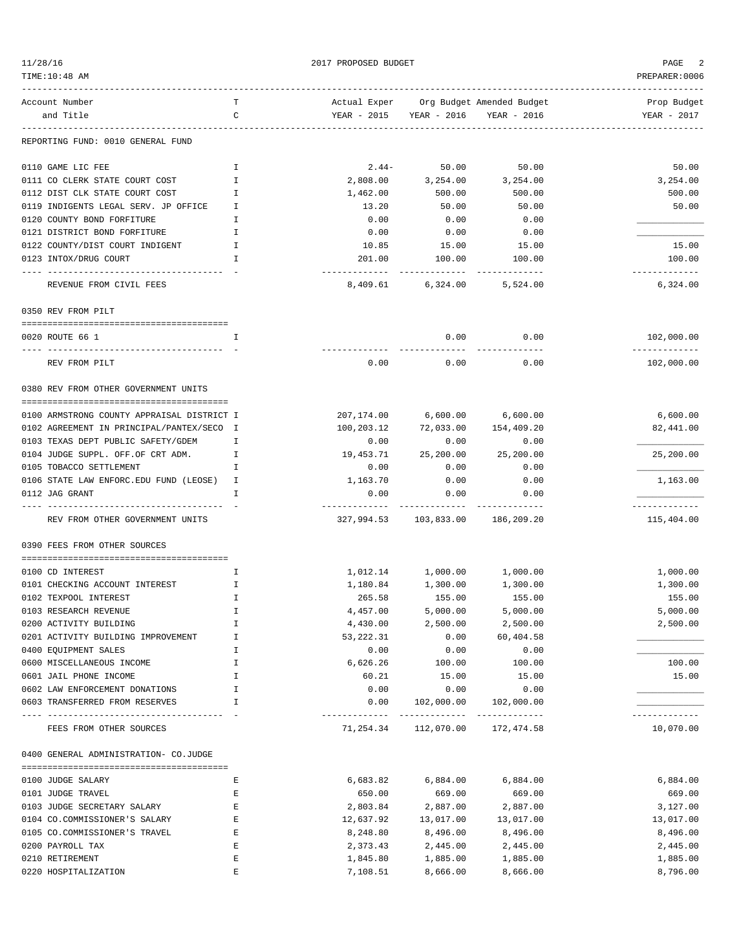| 11/28/16                                          |        | PAGE<br>2         |                                                  |                 |                             |
|---------------------------------------------------|--------|-------------------|--------------------------------------------------|-----------------|-----------------------------|
| TIME:10:48 AM                                     |        | PREPARER: 0006    |                                                  |                 |                             |
| Account Number                                    | т      |                   | Actual Exper Org Budget Amended Budget           |                 | Prop Budget                 |
| and Title                                         | C      |                   | YEAR - 2015 YEAR - 2016                          | YEAR - 2016     | YEAR - 2017                 |
| REPORTING FUND: 0010 GENERAL FUND                 |        |                   |                                                  |                 |                             |
| 0110 GAME LIC FEE                                 | Ι.     | $2.44-$           | 50.00                                            | 50.00           | 50.00                       |
| 0111 CO CLERK STATE COURT COST                    | I      | 2,808.00          | 3,254.00                                         | 3,254.00        | 3,254.00                    |
| 0112 DIST CLK STATE COURT COST                    | T      | 1,462.00          | 500.00                                           | 500.00          | 500.00                      |
| 0119 INDIGENTS LEGAL SERV. JP OFFICE              | Ι.     | 13.20             | 50.00                                            | 50.00           | 50.00                       |
| 0120 COUNTY BOND FORFITURE                        | I      | 0.00              | 0.00                                             | 0.00            |                             |
| 0121 DISTRICT BOND FORFITURE                      | I      | 0.00              | 0.00                                             | 0.00            |                             |
| 0122 COUNTY/DIST COURT INDIGENT                   | I      | 10.85             | 15.00                                            | 15.00           | 15.00                       |
| 0123 INTOX/DRUG COURT                             | I      | 201.00            | 100.00                                           | 100.00          | 100.00                      |
| REVENUE FROM CIVIL FEES                           |        | -----------       | -------------<br>8,409.61 6,324.00 5,524.00      | -------------   | -------------<br>6,324.00   |
| 0350 REV FROM PILT                                |        |                   |                                                  |                 |                             |
|                                                   |        |                   |                                                  |                 |                             |
| 0020 ROUTE 66 1                                   | I      |                   | 0.00                                             | 0.00            | 102,000.00<br>------------- |
| REV FROM PILT                                     |        | 0.00              | 0.00                                             | 0.00            | 102,000.00                  |
| 0380 REV FROM OTHER GOVERNMENT UNITS              |        |                   |                                                  |                 |                             |
| 0100 ARMSTRONG COUNTY APPRAISAL DISTRICT I        |        | 207,174.00        | 6,600.00                                         | 6,600.00        | 6,600.00                    |
| 0102 AGREEMENT IN PRINCIPAL/PANTEX/SECO I         |        | 100,203.12        | 72,033.00                                        | 154,409.20      | 82,441.00                   |
| 0103 TEXAS DEPT PUBLIC SAFETY/GDEM                | I.     | 0.00              | 0.00                                             | 0.00            |                             |
| 0104 JUDGE SUPPL. OFF.OF CRT ADM.                 | I.     | 19,453.71         | 25,200.00                                        | 25,200.00       | 25,200.00                   |
| 0105 TOBACCO SETTLEMENT                           | I      | 0.00              | 0.00                                             | 0.00            |                             |
| 0106 STATE LAW ENFORC. EDU FUND (LEOSE) I         |        | 1,163.70          | 0.00                                             | 0.00            | 1,163.00                    |
| 0112 JAG GRANT                                    | I      | 0.00              | 0.00                                             | 0.00            |                             |
| REV FROM OTHER GOVERNMENT UNITS                   |        | -----------       | . <u>.</u> .<br>327,994.53 103,833.00 186,209.20 |                 | ------------<br>115,404.00  |
| 0390 FEES FROM OTHER SOURCES                      |        |                   |                                                  |                 |                             |
|                                                   |        |                   |                                                  |                 |                             |
| 0100 CD INTEREST                                  | I.     | 1,012.14          | 1,000.00                                         | 1,000.00        | 1,000.00                    |
| 0101 CHECKING ACCOUNT INTEREST                    | Ι.     | 1,180.84          | 1,300.00                                         | 1,300.00        | 1,300.00                    |
| 0102 TEXPOOL INTEREST                             | I      | 265.58            | 155.00                                           | 155.00          | 155.00                      |
| 0103 RESEARCH REVENUE                             | I      | 4,457.00          | 5,000.00                                         | 5,000.00        | 5,000.00                    |
| 0200 ACTIVITY BUILDING                            | I      | 4,430.00          | 2,500.00                                         | 2,500.00        | 2,500.00                    |
| 0201 ACTIVITY BUILDING IMPROVEMENT                | I      | 53,222.31         | 0.00                                             | 60,404.58       |                             |
| 0400 EQUIPMENT SALES<br>0600 MISCELLANEOUS INCOME | I<br>I | 0.00              | 0.00<br>100.00                                   | 0.00            | 100.00                      |
| 0601 JAIL PHONE INCOME                            | I      | 6,626.26<br>60.21 | 15.00                                            | 100.00<br>15.00 | 15.00                       |
| 0602 LAW ENFORCEMENT DONATIONS                    | I      | 0.00              | 0.00                                             | 0.00            |                             |
| 0603 TRANSFERRED FROM RESERVES                    | I      | 0.00              | 102,000.00                                       | 102,000.00      |                             |
| FEES FROM OTHER SOURCES                           |        |                   | 71, 254.34 112, 070.00 172, 474.58               | -------------   | ---------<br>10,070.00      |
| 0400 GENERAL ADMINISTRATION- CO.JUDGE             |        |                   |                                                  |                 |                             |
|                                                   |        |                   |                                                  |                 |                             |
| 0100 JUDGE SALARY                                 | Ε      | 6,683.82          | 6,884.00                                         | 6,884.00        | 6,884.00                    |
| 0101 JUDGE TRAVEL                                 | Ε      | 650.00            | 669.00                                           | 669.00          | 669.00                      |
| 0103 JUDGE SECRETARY SALARY                       | Ε      | 2,803.84          | 2,887.00                                         | 2,887.00        | 3,127.00                    |
| 0104 CO.COMMISSIONER'S SALARY                     | Ε      | 12,637.92         | 13,017.00                                        | 13,017.00       | 13,017.00                   |
| 0105 CO.COMMISSIONER'S TRAVEL                     | Ε      | 8,248.80          | 8,496.00                                         | 8,496.00        | 8,496.00                    |
| 0200 PAYROLL TAX                                  | Ε      | 2,373.43          | 2,445.00                                         | 2,445.00        | 2,445.00                    |
| 0210 RETIREMENT                                   | E      | 1,845.80          | 1,885.00                                         | 1,885.00        | 1,885.00                    |
| 0220 HOSPITALIZATION                              | Е      | 7,108.51          | 8,666.00                                         | 8,666.00        | 8,796.00                    |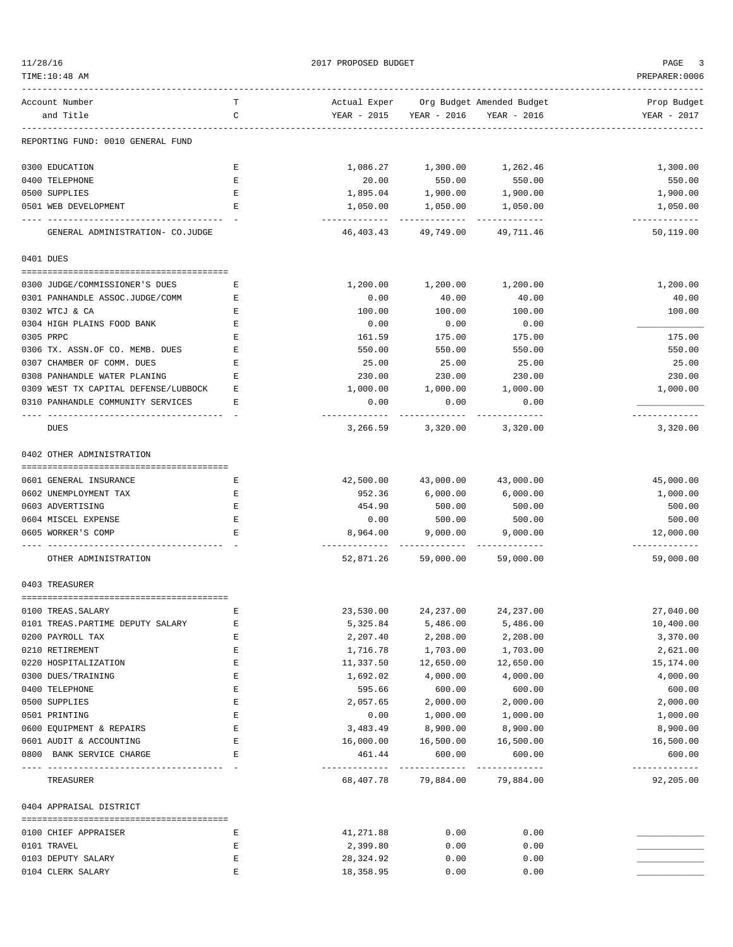| 1/28/16 |  |
|---------|--|
|         |  |
|         |  |

2017 PROPOSED BUDGET AND STRUCK AND THE PAGE 3

| TIME:10:48 AM                           |        |                        |                                     |                                        | PREPARER:0006           |
|-----------------------------------------|--------|------------------------|-------------------------------------|----------------------------------------|-------------------------|
| Account Number                          | т      |                        |                                     | Actual Exper Org Budget Amended Budget | Prop Budget             |
| and Title                               | C      |                        | YEAR - 2015 YEAR - 2016 YEAR - 2016 |                                        | YEAR - 2017             |
| REPORTING FUND: 0010 GENERAL FUND       |        |                        |                                     |                                        |                         |
| 0300 EDUCATION                          | Е      |                        | 1,086.27 1,300.00                   | 1,262.46                               | 1,300.00                |
| 0400 TELEPHONE                          | Е      | 20.00                  | 550.00                              | 550.00                                 | 550.00                  |
| 0500 SUPPLIES                           | Ε      | 1,895.04               | 1,900.00                            | 1,900.00                               | 1,900.00                |
| 0501 WEB DEVELOPMENT                    | Е      | 1,050.00<br>---------- | 1,050.00<br>-------------           | 1,050.00<br>-------------              | 1,050.00<br>----------- |
| GENERAL ADMINISTRATION- CO.JUDGE        |        | 46,403.43              | 49,749.00                           | 49,711.46                              | 50,119.00               |
| 0401 DUES                               |        |                        |                                     |                                        |                         |
| 0300 JUDGE/COMMISSIONER'S DUES          | Ε      | 1,200.00               | 1,200.00                            | 1,200.00                               | 1,200.00                |
| 0301 PANHANDLE ASSOC.JUDGE/COMM         | Ε      | 0.00                   | 40.00                               | 40.00                                  | 40.00                   |
| 0302 WTCJ & CA                          | Ε      | 100.00                 | 100.00                              | 100.00                                 | 100.00                  |
| 0304 HIGH PLAINS FOOD BANK              | Ε      | 0.00                   | 0.00                                | 0.00                                   |                         |
| 0305 PRPC                               | Ε      | 161.59                 | 175.00                              | 175.00                                 | 175.00                  |
| 0306 TX. ASSN.OF CO. MEMB. DUES         | Ε      | 550.00                 | 550.00                              | 550.00                                 | 550.00                  |
| 0307 CHAMBER OF COMM. DUES              | Ε      | 25.00                  | 25.00                               | 25.00                                  | 25.00                   |
| 0308 PANHANDLE WATER PLANING            | Е      | 230.00                 | 230.00                              | 230.00                                 | 230.00                  |
| 0309 WEST TX CAPITAL DEFENSE/LUBBOCK    | Ε      | 1,000.00               | 1,000.00                            | 1,000.00                               | 1,000.00                |
| 0310 PANHANDLE COMMUNITY SERVICES       | Ε      | 0.00<br>---------      | 0.00                                | 0.00                                   | ----------              |
| DUES                                    |        | 3,266.59               | 3,320.00                            | 3,320.00                               | 3,320.00                |
| 0402 OTHER ADMINISTRATION               |        |                        |                                     |                                        |                         |
|                                         |        |                        |                                     |                                        |                         |
| 0601 GENERAL INSURANCE                  | Е      | 42,500.00              | 43,000.00                           | 43,000.00                              | 45,000.00               |
| 0602 UNEMPLOYMENT TAX                   | Е      | 952.36                 | 6,000.00                            | 6,000.00                               | 1,000.00                |
| 0603 ADVERTISING<br>0604 MISCEL EXPENSE | Ε<br>Ε | 454.90<br>0.00         | 500.00<br>500.00                    | 500.00<br>500.00                       | 500.00<br>500.00        |
| 0605 WORKER'S COMP                      | Ε      | 8,964.00               | 9,000.00                            | 9,000.00                               | 12,000.00               |
|                                         |        | ----------             |                                     |                                        | -----------             |
| OTHER ADMINISTRATION                    |        | 52,871.26              |                                     | 59,000.00 59,000.00                    | 59,000.00               |
| 0403 TREASURER                          |        |                        |                                     |                                        |                         |
| 0100 TREAS. SALARY                      |        | 23,530.00              | 24, 237.00                          | 24, 237.00                             | 27,040.00               |
| 0101 TREAS. PARTIME DEPUTY SALARY       | Ε      | 5,325.84               | 5,486.00                            | 5,486.00                               | 10,400.00               |
| 0200 PAYROLL TAX                        | Ε      | 2,207.40               | 2,208.00                            | 2,208.00                               | 3,370.00                |
| 0210 RETIREMENT                         | Ε      | 1,716.78               | 1,703.00                            | 1,703.00                               | 2,621.00                |
| 0220 HOSPITALIZATION                    | Е      | 11,337.50              | 12,650.00                           | 12,650.00                              | 15,174.00               |
| 0300 DUES/TRAINING                      | E      | 1,692.02               | 4,000.00                            | 4,000.00                               | 4,000.00                |
| 0400 TELEPHONE                          | E      | 595.66                 | 600.00                              | 600.00                                 | 600.00                  |
| 0500 SUPPLIES                           | Ε      | 2,057.65               | 2,000.00                            | 2,000.00                               | 2,000.00                |
| 0501 PRINTING                           | Ε      | 0.00                   | 1,000.00                            | 1,000.00                               | 1,000.00                |
| 0600 EQUIPMENT & REPAIRS                | Ε      | 3,483.49               | 8,900.00                            | 8,900.00                               | 8,900.00                |
| 0601 AUDIT & ACCOUNTING                 | Е      | 16,000.00              | 16,500.00                           | 16,500.00                              | 16,500.00               |
| 0800 BANK SERVICE CHARGE                | E      | 461.44                 | 600.00                              | 600.00<br>-------------                | 600.00<br>------------- |
| TREASURER                               |        | 68,407.78              | 79,884.00                           | 79,884.00                              | 92,205.00               |
| 0404 APPRAISAL DISTRICT                 |        |                        |                                     |                                        |                         |
| 0100 CHIEF APPRAISER                    | Е      | 41,271.88              | 0.00                                | 0.00                                   |                         |
| 0101 TRAVEL                             | Ε      | 2,399.80               | 0.00                                | 0.00                                   |                         |
| 0103 DEPUTY SALARY                      | Ε      | 28,324.92              | 0.00                                | 0.00                                   |                         |
| 0104 CLERK SALARY                       | Ε      | 18,358.95              | 0.00                                | 0.00                                   |                         |
|                                         |        |                        |                                     |                                        |                         |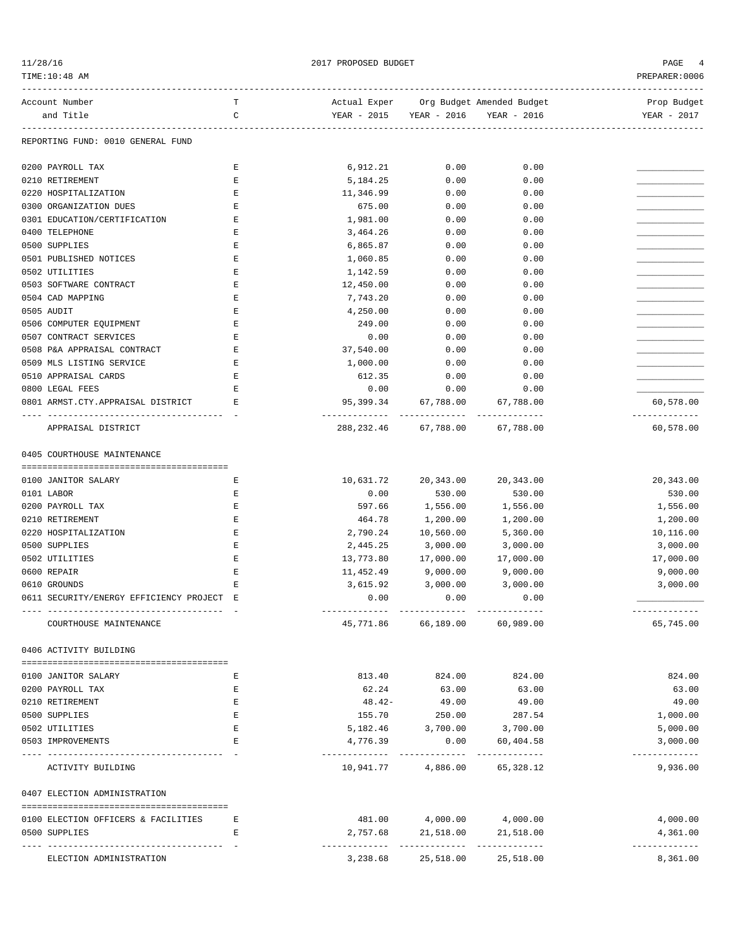| 11/28/16 |  |
|----------|--|

 $12017$  PROPOSED BUDGET  $4$ 

PREPARER:0006

| PREPARER: 0006 |                           |             |              | TIME: 10:48 AM |
|----------------|---------------------------|-------------|--------------|----------------|
| Prop Budget    | Org Budget Amended Budget |             | Actual Exper | Account Number |
| YEAR - 2017    | YEAR - 2016               | YEAR - 2016 | YEAR - 2015  | and Title      |

Prop Budget and Title C YEAR - 2015 YEAR - 2016 YEAR - 2016 YEAR - 2017 ------------------------------------------------------------------------------------------------------------------------------------

# REPORTING FUND: 0010 GENERAL FUND

| 0200 PAYROLL TAX                                                                | Ε           | 6,912.21    | 0.00                | 0.00                     |                         |
|---------------------------------------------------------------------------------|-------------|-------------|---------------------|--------------------------|-------------------------|
| 0210 RETIREMENT                                                                 | Ε           | 5,184.25    | 0.00                | 0.00                     |                         |
| 0220 HOSPITALIZATION                                                            | Ε           | 11,346.99   | 0.00                | 0.00                     |                         |
| 0300 ORGANIZATION DUES                                                          | Е           | 675.00      | 0.00                | 0.00                     |                         |
| 0301 EDUCATION/CERTIFICATION                                                    | E           | 1,981.00    | 0.00                | 0.00                     |                         |
| 0400 TELEPHONE                                                                  | E           | 3,464.26    | 0.00                | 0.00                     |                         |
| 0500 SUPPLIES                                                                   | E           | 6,865.87    | 0.00                | 0.00                     |                         |
| 0501 PUBLISHED NOTICES                                                          | Ε           | 1,060.85    | 0.00                | 0.00                     |                         |
| 0502 UTILITIES                                                                  | Е           | 1,142.59    | 0.00                | 0.00                     |                         |
| 0503 SOFTWARE CONTRACT                                                          | Ε           | 12,450.00   | 0.00                | 0.00                     |                         |
| 0504 CAD MAPPING                                                                | Ε           | 7,743.20    | 0.00                | 0.00                     |                         |
| 0505 AUDIT                                                                      | Ε           | 4,250.00    | 0.00                | 0.00                     |                         |
| 0506 COMPUTER EQUIPMENT                                                         | Ε           | 249.00      | 0.00                | 0.00                     |                         |
| 0507 CONTRACT SERVICES                                                          | Ε           | 0.00        | 0.00                | 0.00                     |                         |
| 0508 P&A APPRAISAL CONTRACT                                                     | Ε           | 37,540.00   | 0.00                | 0.00                     |                         |
| 0509 MLS LISTING SERVICE                                                        | E           | 1,000.00    | 0.00                | 0.00                     |                         |
| 0510 APPRAISAL CARDS                                                            | Ε           | 612.35      | 0.00                | 0.00                     |                         |
| 0800 LEGAL FEES                                                                 | Ε           | 0.00        | 0.00                | 0.00                     |                         |
| 0801 ARMST.CTY.APPRAISAL DISTRICT                                               | Е           | 95,399.34   | 67,788.00           | 67,788.00                | 60,578.00               |
| APPRAISAL DISTRICT                                                              |             | 288, 232.46 | 67,788.00           | 67,788.00                | 60,578.00               |
| 0405 COURTHOUSE MAINTENANCE                                                     |             |             |                     |                          |                         |
|                                                                                 |             |             |                     |                          |                         |
| 0100 JANITOR SALARY                                                             | Е           | 10,631.72   | 20,343.00           | 20,343.00                | 20,343.00               |
| 0101 LABOR                                                                      | Ε           | 0.00        | 530.00              | 530.00                   | 530.00                  |
| 0200 PAYROLL TAX                                                                | E           | 597.66      | 1,556.00            | 1,556.00                 | 1,556.00                |
| 0210 RETIREMENT                                                                 | Е           | 464.78      | 1,200.00            | 1,200.00                 | 1,200.00                |
| 0220 HOSPITALIZATION                                                            | E           | 2,790.24    | 10,560.00           | 5,360.00                 | 10,116.00               |
| 0500 SUPPLIES                                                                   | Ε           | 2,445.25    | 3,000.00            | 3,000.00                 | 3,000.00                |
| 0502 UTILITIES                                                                  | Ε           | 13,773.80   | 17,000.00           | 17,000.00                | 17,000.00               |
| 0600 REPAIR                                                                     | Ε           | 11,452.49   | 9,000.00            | 9,000.00                 | 9,000.00                |
| 0610 GROUNDS                                                                    | Ε           | 3,615.92    | 3,000.00            | 3,000.00                 | 3,000.00                |
| 0611 SECURITY/ENERGY EFFICIENCY PROJECT E<br>---------------------------------- |             | 0.00        | 0.00                | 0.00<br>______________   | -------------           |
| COURTHOUSE MAINTENANCE                                                          |             |             | 45,771.86 66,189.00 | 60,989.00                | 65,745.00               |
| 0406 ACTIVITY BUILDING                                                          |             |             |                     |                          |                         |
| 0100 JANITOR SALARY                                                             | Ε           | 813.40      | 824.00              | 824.00                   | 824.00                  |
| 0200 PAYROLL TAX                                                                | Ε           | 62.24       | 63.00               | 63.00                    | 63.00                   |
| 0210 RETIREMENT                                                                 | Ε           | 48.42-      | 49.00               | 49.00                    | 49.00                   |
| 0500 SUPPLIES                                                                   | Ε           | 155.70      | 250.00              | 287.54                   | 1,000.00                |
| 0502 UTILITIES                                                                  | Е           | 5,182.46    | 3,700.00            | 3,700.00                 | 5,000.00                |
| 0503 IMPROVEMENTS                                                               | $\mathbf E$ | 4,776.39    | 0.00                | 60,404.58                | 3,000.00                |
|                                                                                 |             |             |                     |                          | ----------              |
| ACTIVITY BUILDING                                                               |             | 10,941.77   | 4,886.00            | 65,328.12                | 9,936.00                |
| 0407 ELECTION ADMINISTRATION                                                    |             |             |                     |                          |                         |
| 0100 ELECTION OFFICERS & FACILITIES                                             | Е           | 481.00      | 4,000.00            | 4,000.00                 | 4,000.00                |
| 0500 SUPPLIES                                                                   | Е           | 2,757.68    | 21,518.00           | 21,518.00                | 4,361.00                |
| ELECTION ADMINISTRATION                                                         |             | 3,238.68    | 25,518.00           | -----------<br>25,518.00 | -----------<br>8,361.00 |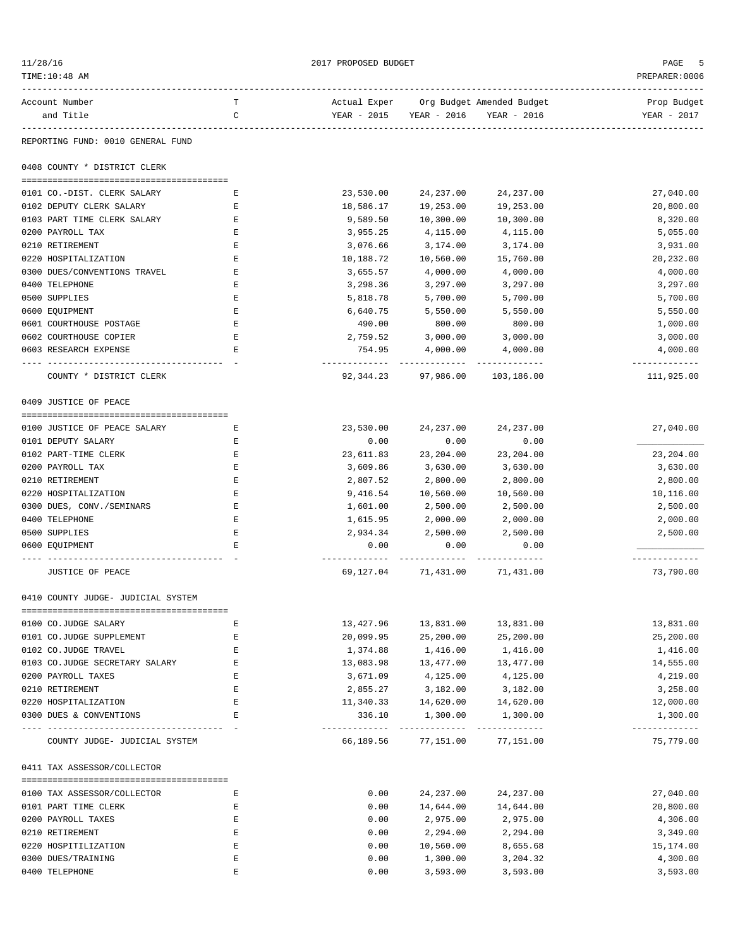| 11/28/16<br>TIME:10:48 AM                        |        | 2017 PROPOSED BUDGET   |                                                                   |             | PAGE<br>PREPARER: 0006     |
|--------------------------------------------------|--------|------------------------|-------------------------------------------------------------------|-------------|----------------------------|
| Account Number<br>and Title                      | т<br>C |                        | Actual Exper Org Budget Amended Budget<br>YEAR - 2015 YEAR - 2016 | YEAR - 2016 | Prop Budget<br>YEAR - 2017 |
| REPORTING FUND: 0010 GENERAL FUND                |        |                        |                                                                   |             |                            |
| 0408 COUNTY * DISTRICT CLERK                     |        |                        |                                                                   |             |                            |
| 0101 CO.-DIST. CLERK SALARY                      | Е      | 23,530.00              | 24,237.00                                                         | 24,237.00   | 27,040.00                  |
| 0102 DEPUTY CLERK SALARY                         | Е      | 18,586.17              | 19,253.00                                                         | 19,253.00   | 20,800.00                  |
| 0103 PART TIME CLERK SALARY                      | Е      | 9,589.50               | 10,300.00                                                         | 10,300.00   | 8,320.00                   |
| 0200 PAYROLL TAX                                 | Ε      | 3,955.25               | 4,115.00                                                          | 4,115.00    | 5,055.00                   |
| 0210 RETIREMENT                                  | Ε      | 3,076.66               | 3,174.00                                                          | 3,174.00    | 3,931.00                   |
| 0220 HOSPITALIZATION                             | Е      | 10,188.72              | 10,560.00                                                         | 15,760.00   | 20,232.00                  |
| 0300 DUES/CONVENTIONS TRAVEL                     | Ε      | 3,655.57               | 4,000.00                                                          | 4,000.00    | 4,000.00                   |
| 0400 TELEPHONE                                   | Ε      | 3,298.36               | 3,297.00                                                          | 3,297.00    | 3,297.00                   |
| 0500 SUPPLIES                                    | Ε      | 5,818.78               | 5,700.00                                                          | 5,700.00    | 5,700.00                   |
| 0600 EQUIPMENT                                   | Ε      | 6,640.75               | 5,550.00                                                          | 5,550.00    | 5,550.00                   |
| 0601 COURTHOUSE POSTAGE                          | Ε      | 490.00                 | 800.00                                                            | 800.00      | 1,000.00                   |
| 0602 COURTHOUSE COPIER                           | Ε      | 2,759.52               | 3,000.00                                                          | 3,000.00    | 3,000.00                   |
| 0603 RESEARCH EXPENSE                            | Ε      | 754.95                 | 4,000.00<br>------------ --------------                           | 4,000.00    | 4,000.00<br>------------   |
| COUNTY * DISTRICT CLERK                          |        |                        | 92,344.23 97,986.00 103,186.00                                    |             | 111,925.00                 |
| 0409 JUSTICE OF PEACE                            |        |                        |                                                                   |             |                            |
| 0100 JUSTICE OF PEACE SALARY                     | Е      | 23,530.00              | 24,237.00                                                         | 24,237.00   | 27,040.00                  |
| 0101 DEPUTY SALARY                               | Е      | 0.00                   | 0.00                                                              | 0.00        |                            |
| 0102 PART-TIME CLERK                             | Е      | 23,611.83              | 23,204.00                                                         | 23,204.00   | 23,204.00                  |
| 0200 PAYROLL TAX                                 | Ε      | 3,609.86               | 3,630.00                                                          | 3,630.00    | 3,630.00                   |
| 0210 RETIREMENT                                  | Ε      | 2,807.52               | 2,800.00                                                          | 2,800.00    | 2,800.00                   |
| 0220 HOSPITALIZATION                             | Ε      | 9,416.54               | 10,560.00                                                         | 10,560.00   | 10,116.00                  |
| 0300 DUES, CONV./SEMINARS                        | Ε      | 1,601.00               | 2,500.00                                                          | 2,500.00    | 2,500.00                   |
| 0400 TELEPHONE                                   | Ε      | 1,615.95               | 2,000.00                                                          | 2,000.00    | 2,000.00                   |
| 0500 SUPPLIES                                    | Ε      | 2,934.34               | 2,500.00                                                          | 2,500.00    | 2,500.00                   |
| 0600 EOUIPMENT                                   | Ε      | 0.00<br>. <u>.</u>     | 0.00                                                              | 0.00        | .                          |
| JUSTICE OF PEACE                                 |        | 69,127.04              | 71,431.00                                                         | 71,431.00   | 73,790.00                  |
| 0410 COUNTY JUDGE- JUDICIAL SYSTEM               |        |                        |                                                                   |             |                            |
|                                                  |        |                        | 13,831.00                                                         | 13,831.00   |                            |
| 0100 CO.JUDGE SALARY<br>0101 CO.JUDGE SUPPLEMENT | Е<br>Ε | 13,427.96<br>20,099.95 | 25,200.00                                                         | 25,200.00   | 13,831.00<br>25,200.00     |
| 0102 CO.JUDGE TRAVEL                             | Е      | 1,374.88               | 1,416.00                                                          | 1,416.00    | 1,416.00                   |
| 0103 CO.JUDGE SECRETARY SALARY                   | Е      | 13,083.98              | 13, 477.00                                                        | 13,477.00   | 14,555.00                  |
| 0200 PAYROLL TAXES                               | Е      | 3,671.09               | 4,125.00                                                          | 4,125.00    | 4,219.00                   |
| 0210 RETIREMENT                                  | Ε      | 2,855.27               | 3,182.00                                                          | 3,182.00    | 3,258.00                   |
| 0220 HOSPITALIZATION                             | Е      | 11,340.33              | 14,620.00                                                         | 14,620.00   | 12,000.00                  |
| 0300 DUES & CONVENTIONS                          | Е      | 336.10                 | 1,300.00                                                          | 1,300.00    | 1,300.00                   |
| COUNTY JUDGE- JUDICIAL SYSTEM                    |        |                        | 66,189.56 77,151.00 77,151.00                                     |             | -------------<br>75,779.00 |
| 0411 TAX ASSESSOR/COLLECTOR                      |        |                        |                                                                   |             |                            |
| 0100 TAX ASSESSOR/COLLECTOR                      | Е      | 0.00                   | 24, 237.00                                                        | 24,237.00   | 27,040.00                  |
| 0101 PART TIME CLERK                             | Е      | 0.00                   | 14,644.00                                                         | 14,644.00   | 20,800.00                  |
| 0200 PAYROLL TAXES                               | Е      | 0.00                   | 2,975.00                                                          | 2,975.00    | 4,306.00                   |
| 0210 RETIREMENT                                  | Ε      | 0.00                   | 2,294.00                                                          | 2,294.00    | 3,349.00                   |
| 0220 HOSPITILIZATION                             | Е      | 0.00                   | 10,560.00                                                         | 8,655.68    | 15,174.00                  |
| 0300 DUES/TRAINING                               | Ε      | 0.00                   | 1,300.00                                                          | 3,204.32    | 4,300.00                   |
| 0400 TELEPHONE                                   | E      | 0.00                   | 3,593.00                                                          | 3,593.00    | 3,593.00                   |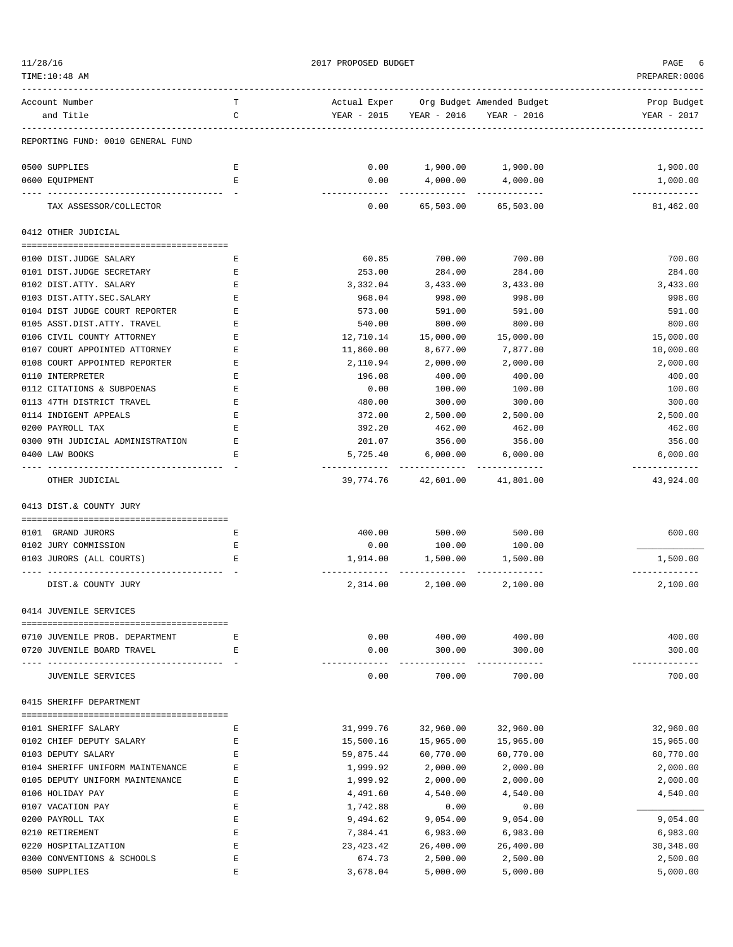| 11/28/16                          |        | PAGE                      |                           |                                                       |                            |
|-----------------------------------|--------|---------------------------|---------------------------|-------------------------------------------------------|----------------------------|
| TIME:10:48 AM                     |        |                           |                           |                                                       | PREPARER: 0006             |
| Account Number<br>and Title       | т<br>C | YEAR - 2015               | YEAR - 2016               | Actual Exper Org Budget Amended Budget<br>YEAR - 2016 | Prop Budget<br>YEAR - 2017 |
| REPORTING FUND: 0010 GENERAL FUND |        |                           |                           |                                                       |                            |
| 0500 SUPPLIES                     | Ε      | 0.00                      |                           | 1,900.00 1,900.00                                     | 1,900.00                   |
| 0600 EQUIPMENT                    | E      | 0.00<br>-----             | 4,000.00                  | 4,000.00<br>-------------                             | 1,000.00<br>-------------  |
| TAX ASSESSOR/COLLECTOR            |        | 0.00                      | 65,503.00                 | 65,503.00                                             | 81,462.00                  |
| 0412 OTHER JUDICIAL               |        |                           |                           |                                                       |                            |
| 0100 DIST.JUDGE SALARY            | Ε      | 60.85                     | 700.00                    | 700.00                                                | 700.00                     |
| 0101 DIST.JUDGE SECRETARY         | Ε      | 253.00                    | 284.00                    | 284.00                                                | 284.00                     |
| 0102 DIST.ATTY. SALARY            | Ε      | 3,332.04                  | 3,433.00                  | 3,433.00                                              | 3,433.00                   |
| 0103 DIST.ATTY.SEC.SALARY         | E      | 968.04                    | 998.00                    | 998.00                                                | 998.00                     |
| 0104 DIST JUDGE COURT REPORTER    | Ε      | 573.00                    | 591.00                    | 591.00                                                | 591.00                     |
| 0105 ASST.DIST.ATTY. TRAVEL       | Ε      | 540.00                    | 800.00                    | 800.00                                                | 800.00                     |
| 0106 CIVIL COUNTY ATTORNEY        | Ε      | 12,710.14                 | 15,000.00                 | 15,000.00                                             | 15,000.00                  |
| 0107 COURT APPOINTED ATTORNEY     | Ε      | 11,860.00                 | 8,677.00                  | 7,877.00                                              | 10,000.00                  |
| 0108 COURT APPOINTED REPORTER     | E      | 2,110.94                  | 2,000.00                  | 2,000.00                                              | 2,000.00                   |
| 0110 INTERPRETER                  | Ε      | 196.08                    | 400.00                    | 400.00                                                | 400.00                     |
| 0112 CITATIONS & SUBPOENAS        | Ε      | 0.00                      | 100.00                    | 100.00                                                | 100.00                     |
| 0113 47TH DISTRICT TRAVEL         | E      | 480.00                    | 300.00                    | 300.00                                                | 300.00                     |
| 0114 INDIGENT APPEALS             | Ε      | 372.00                    | 2,500.00                  | 2,500.00                                              | 2,500.00                   |
| 0200 PAYROLL TAX                  | Ε      | 392.20                    | 462.00                    | 462.00                                                | 462.00                     |
| 0300 9TH JUDICIAL ADMINISTRATION  | Ε      | 201.07                    | 356.00                    | 356.00                                                | 356.00                     |
| 0400 LAW BOOKS                    | Ε      | 5,725.40<br>------------- | 6,000.00<br>------------- | 6,000.00<br>--------------                            | 6,000.00<br>-------------  |
| OTHER JUDICIAL                    |        | 39,774.76                 | 42,601.00                 | 41,801.00                                             | 43,924.00                  |
| 0413 DIST.& COUNTY JURY           |        |                           |                           |                                                       |                            |
| 0101 GRAND JURORS                 | Ε      | 400.00                    | 500.00                    | 500.00                                                | 600.00                     |
| 0102 JURY COMMISSION              | Ε      | 0.00                      | 100.00                    | 100.00                                                |                            |
| 0103 JURORS (ALL COURTS)          | Е      | 1,914.00                  | 1,500.00                  | 1,500.00                                              | 1,500.00                   |
| DIST.& COUNTY JURY                |        | 2,314.00                  | 2,100.00                  | 2,100.00                                              | . <u>.</u><br>2,100.00     |
| 0414 JUVENILE SERVICES            |        |                           |                           |                                                       |                            |
|                                   |        | 0.00                      |                           | 400.00                                                | 400.00                     |
| 0710 JUVENILE PROB. DEPARTMENT    | Ε<br>E |                           | 400.00<br>300.00          |                                                       | 300.00                     |
| 0720 JUVENILE BOARD TRAVEL        |        | 0.00                      |                           | 300.00<br>-------                                     |                            |
| <b>JUVENILE SERVICES</b>          |        | 0.00                      | 700.00                    | 700.00                                                | 700.00                     |
| 0415 SHERIFF DEPARTMENT           |        |                           |                           |                                                       |                            |
| 0101 SHERIFF SALARY               | Ε      | 31,999.76                 | 32,960.00                 | 32,960.00                                             | 32,960.00                  |
| 0102 CHIEF DEPUTY SALARY          | Ε      | 15,500.16                 | 15,965.00                 | 15,965.00                                             | 15,965.00                  |
| 0103 DEPUTY SALARY                | Ε      | 59,875.44                 | 60,770.00                 | 60,770.00                                             | 60,770.00                  |
| 0104 SHERIFF UNIFORM MAINTENANCE  | Ε      | 1,999.92                  | 2,000.00                  | 2,000.00                                              | 2,000.00                   |
| 0105 DEPUTY UNIFORM MAINTENANCE   | Ε      | 1,999.92                  | 2,000.00                  | 2,000.00                                              | 2,000.00                   |
| 0106 HOLIDAY PAY                  | Ε      | 4,491.60                  | 4,540.00                  | 4,540.00                                              | 4,540.00                   |
| 0107 VACATION PAY                 | Ε      | 1,742.88                  | 0.00                      | 0.00                                                  |                            |
| 0200 PAYROLL TAX                  | Ε      | 9,494.62                  | 9,054.00                  | 9,054.00                                              | 9,054.00                   |
| 0210 RETIREMENT                   | Ε      | 7,384.41                  | 6,983.00                  | 6,983.00                                              | 6,983.00                   |
| 0220 HOSPITALIZATION              | Ε      | 23,423.42                 | 26,400.00                 | 26,400.00                                             | 30,348.00                  |
| 0300 CONVENTIONS & SCHOOLS        | Ε      | 674.73                    | 2,500.00                  | 2,500.00                                              | 2,500.00                   |
| 0500 SUPPLIES                     | E      | 3,678.04                  | 5,000.00                  | 5,000.00                                              | 5,000.00                   |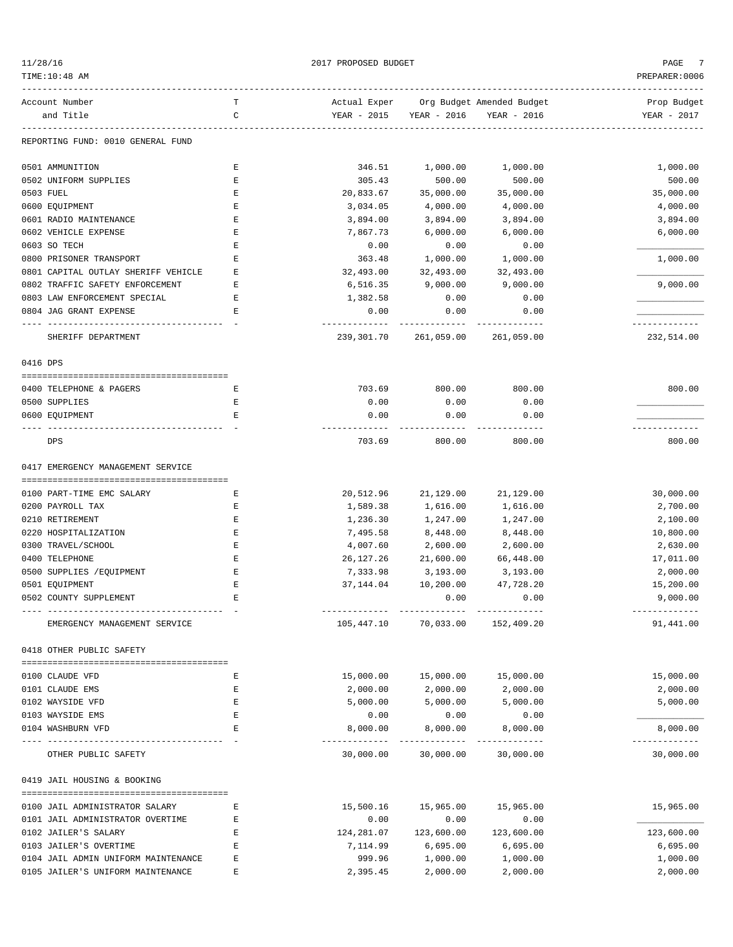|  | 1/28/16 |  |
|--|---------|--|
|  |         |  |

| 11/28/16                                  |        | 2017 PROPOSED BUDGET       |                             |                                        | PAGE<br>7                   |
|-------------------------------------------|--------|----------------------------|-----------------------------|----------------------------------------|-----------------------------|
| TIME:10:48 AM                             |        | PREPARER: 0006             |                             |                                        |                             |
| Account Number                            | т      |                            |                             | Actual Exper Org Budget Amended Budget | Prop Budget                 |
| and Title                                 | C      | YEAR - 2015                | YEAR - 2016                 | YEAR - 2016                            | YEAR - 2017                 |
| REPORTING FUND: 0010 GENERAL FUND         |        |                            |                             |                                        |                             |
| 0501 AMMUNITION                           | Ε      | 346.51                     | 1,000.00                    | 1,000.00                               | 1,000.00                    |
| 0502 UNIFORM SUPPLIES                     | Ε      | 305.43                     | 500.00                      | 500.00                                 | 500.00                      |
| 0503 FUEL                                 | Е      | 20,833.67                  | 35,000.00                   | 35,000.00                              | 35,000.00                   |
| 0600 EQUIPMENT                            | Ε      | 3,034.05                   | 4,000.00                    | 4,000.00                               | 4,000.00                    |
| 0601 RADIO MAINTENANCE                    | Ε      | 3,894.00                   | 3,894.00                    | 3,894.00                               | 3,894.00                    |
| 0602 VEHICLE EXPENSE                      | Ε      | 7,867.73                   | 6,000.00                    | 6,000.00                               | 6,000.00                    |
| 0603 SO TECH                              | Ε      | 0.00                       | 0.00                        | 0.00                                   |                             |
| 0800 PRISONER TRANSPORT                   | E      | 363.48                     | 1,000.00                    | 1,000.00                               | 1,000.00                    |
| 0801 CAPITAL OUTLAY SHERIFF VEHICLE       | Ε      | 32,493.00                  | 32,493.00                   | 32,493.00                              |                             |
| 0802 TRAFFIC SAFETY ENFORCEMENT           | Е      | 6,516.35                   | 9,000.00                    | 9,000.00                               | 9,000.00                    |
| 0803 LAW ENFORCEMENT SPECIAL              | Ε      | 1,382.58                   | 0.00                        | 0.00                                   |                             |
| 0804 JAG GRANT EXPENSE<br>--------------- | Е      | 0.00                       | 0.00                        | 0.00                                   |                             |
| SHERIFF DEPARTMENT                        |        | ------------<br>239,301.70 | -------------<br>261,059.00 | -------------<br>261,059.00            | -------------<br>232,514.00 |
| 0416 DPS                                  |        |                            |                             |                                        |                             |
| 0400 TELEPHONE & PAGERS                   | Ε      | 703.69                     | 800.00                      | 800.00                                 | 800.00                      |
| 0500 SUPPLIES                             | Ε      | 0.00                       | 0.00                        | 0.00                                   |                             |
| 0600 EQUIPMENT                            | Е      | 0.00                       | 0.00                        | 0.00                                   |                             |
| DPS                                       |        | 703.69                     | 800.00                      | 800.00                                 | 800.00                      |
| 0417 EMERGENCY MANAGEMENT SERVICE         |        |                            |                             |                                        |                             |
|                                           |        |                            |                             |                                        |                             |
| 0100 PART-TIME EMC SALARY                 | Е      | 20,512.96                  | 21,129.00                   | 21,129.00                              | 30,000.00                   |
| 0200 PAYROLL TAX                          | Ε      | 1,589.38                   | 1,616.00                    | 1,616.00                               | 2,700.00                    |
| 0210 RETIREMENT                           | Ε      | 1,236.30                   | 1,247.00                    | 1,247.00                               | 2,100.00                    |
| 0220 HOSPITALIZATION                      | Ε      | 7,495.58                   | 8,448.00                    | 8,448.00                               | 10,800.00                   |
| 0300 TRAVEL/SCHOOL                        | Ε      | 4,007.60                   | 2,600.00                    | 2,600.00                               | 2,630.00                    |
| 0400 TELEPHONE                            | Ε      | 26,127.26                  | 21,600.00                   | 66,448.00                              | 17,011.00                   |
| 0500 SUPPLIES / EQUIPMENT                 | Ε      | 7,333.98                   | 3,193.00                    | 3,193.00                               | 2,000.00                    |
| 0501 EQUIPMENT                            | E      | 37, 144.04                 | 10,200.00                   | 47,728.20                              | 15,200.00                   |
| 0502 COUNTY SUPPLEMENT                    | Ε      |                            | 0.00                        | 0.00                                   | 9,000.00                    |
| EMERGENCY MANAGEMENT SERVICE              |        | 105,447.10                 | 70,033.00                   | 152,409.20                             | 91,441.00                   |
| 0418 OTHER PUBLIC SAFETY                  |        |                            |                             |                                        |                             |
|                                           | Ε      |                            |                             |                                        |                             |
| 0100 CLAUDE VFD                           |        | 15,000.00                  | 15,000.00                   | 15,000.00                              | 15,000.00                   |
| 0101 CLAUDE EMS<br>0102 WAYSIDE VFD       | Ε<br>Ε | 2,000.00<br>5,000.00       | 2,000.00<br>5,000.00        | 2,000.00                               | 2,000.00<br>5,000.00        |
|                                           | Ε      |                            |                             | 5,000.00                               |                             |
| 0103 WAYSIDE EMS<br>0104 WASHBURN VFD     | Е      | 0.00<br>8,000.00           | 0.00<br>8,000.00            | 0.00                                   | 8,000.00                    |
|                                           |        |                            |                             | 8,000.00<br>-----------                | ------------                |
| OTHER PUBLIC SAFETY                       |        | 30,000.00                  | 30,000.00                   | 30,000.00                              | 30,000.00                   |
| 0419 JAIL HOUSING & BOOKING               |        |                            |                             |                                        |                             |
| 0100 JAIL ADMINISTRATOR SALARY            | Ε      | 15,500.16                  | 15,965.00                   | 15,965.00                              | 15,965.00                   |
| 0101 JAIL ADMINISTRATOR OVERTIME          | Ε      | 0.00                       | 0.00                        | 0.00                                   |                             |
| 0102 JAILER'S SALARY                      | Е      | 124,281.07                 | 123,600.00                  | 123,600.00                             | 123,600.00                  |
| 0103 JAILER'S OVERTIME                    | Ε      | 7,114.99                   | 6,695.00                    | 6,695.00                               | 6,695.00                    |
| 0104 JAIL ADMIN UNIFORM MAINTENANCE       | Е      | 999.96                     | 1,000.00                    | 1,000.00                               | 1,000.00                    |
| 0105 JAILER'S UNIFORM MAINTENANCE         | E      | 2,395.45                   | 2,000.00                    | 2,000.00                               | 2,000.00                    |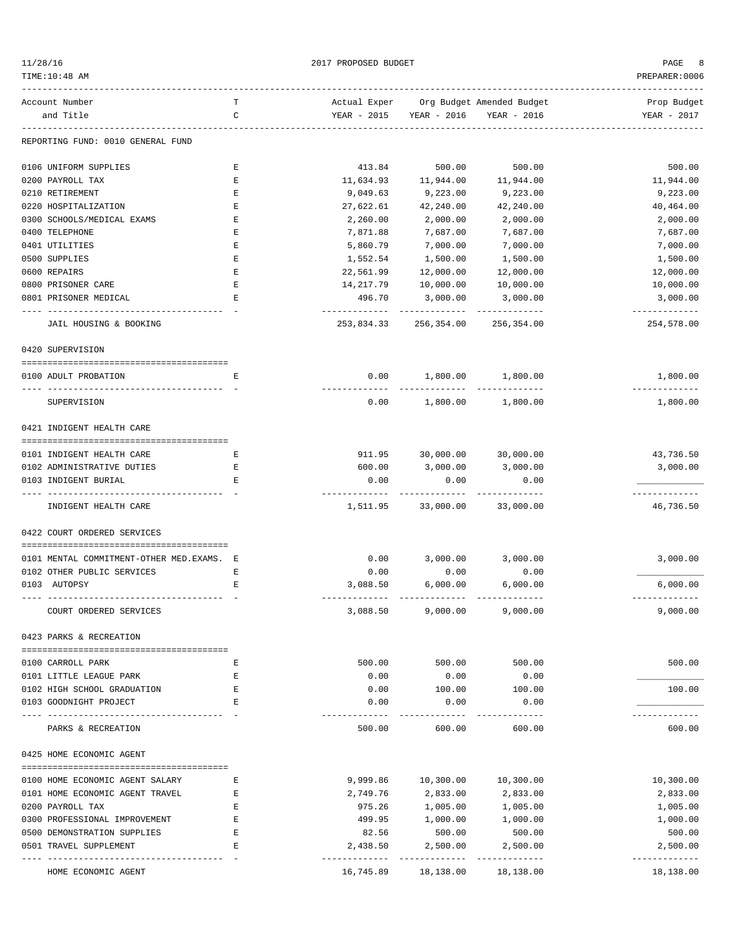| 11/28/16 |  |
|----------|--|
|          |  |

2017 PROPOSED BUDGET AND STRUCK AND STRUCK AND RAGE 8

| TIME:10:48 AM                                             |   |                         |                                   |                                    | PREPARER:0006             |
|-----------------------------------------------------------|---|-------------------------|-----------------------------------|------------------------------------|---------------------------|
| Account Number                                            | т | Actual Exper            |                                   | Org Budget Amended Budget          | Prop Budget               |
| and Title                                                 | C | YEAR - 2015             |                                   | YEAR - 2016 YEAR - 2016            | YEAR - 2017               |
| REPORTING FUND: 0010 GENERAL FUND                         |   |                         |                                   |                                    |                           |
| 0106 UNIFORM SUPPLIES                                     | Е | 413.84                  | 500.00                            | 500.00                             | 500.00                    |
| 0200 PAYROLL TAX                                          | E | 11,634.93               | 11,944.00                         | 11,944.00                          | 11,944.00                 |
| 0210 RETIREMENT                                           | E | 9,049.63                | 9,223.00                          | 9,223.00                           | 9,223.00                  |
| 0220 HOSPITALIZATION                                      | Ε | 27,622.61               | 42,240.00                         | 42,240.00                          | 40,464.00                 |
| 0300 SCHOOLS/MEDICAL EXAMS                                | Ε | 2,260.00                | 2,000.00                          | 2,000.00                           | 2,000.00                  |
| 0400 TELEPHONE                                            | Ε | 7,871.88                | 7,687.00                          | 7,687.00                           | 7,687.00                  |
| 0401 UTILITIES                                            | E | 5,860.79                | 7,000.00                          | 7,000.00                           | 7,000.00                  |
| 0500 SUPPLIES                                             | E | 1,552.54                | 1,500.00                          | 1,500.00                           | 1,500.00                  |
| 0600 REPAIRS                                              | Ε | 22,561.99               | 12,000.00                         | 12,000.00                          | 12,000.00                 |
| 0800 PRISONER CARE                                        | Ε | 14,217.79               | 10,000.00                         | 10,000.00                          | 10,000.00                 |
| 0801 PRISONER MEDICAL                                     | Ε | 496.70<br>------------- | 3,000.00<br>-------------         | 3,000.00<br>-------------          | 3,000.00<br>------------- |
| JAIL HOUSING & BOOKING                                    |   | 253,834.33              | 256,354.00                        | 256,354.00                         | 254,578.00                |
| 0420 SUPERVISION                                          |   |                         |                                   |                                    |                           |
| 0100 ADULT PROBATION                                      | Е |                         | $0.00$ 1,800.00 1,800.00          |                                    | 1,800.00                  |
| SUPERVISION                                               |   | 0.00                    |                                   | -------------<br>1,800.00 1,800.00 | -------------<br>1,800.00 |
| 0421 INDIGENT HEALTH CARE                                 |   |                         |                                   |                                    |                           |
| 0101 INDIGENT HEALTH CARE                                 | Е |                         | 911.95 30,000.00 30,000.00        |                                    | 43,736.50                 |
| 0102 ADMINISTRATIVE DUTIES                                | Е | 600.00                  | 3,000.00                          | 3,000.00                           | 3,000.00                  |
| 0103 INDIGENT BURIAL                                      | Е | 0.00                    | 0.00                              | 0.00                               |                           |
| INDIGENT HEALTH CARE                                      |   |                         | 1,511.95 33,000.00 33,000.00      |                                    | -----------<br>46,736.50  |
| 0422 COURT ORDERED SERVICES                               |   |                         |                                   |                                    |                           |
| 0101 MENTAL COMMITMENT-OTHER MED. EXAMS. E                |   |                         | $0.00$ 3,000.00 3,000.00          |                                    | 3,000.00                  |
| 0102 OTHER PUBLIC SERVICES                                | Е | 0.00                    | 0.00                              | 0.00                               |                           |
| 0103 AUTOPSY                                              | Е | 3,088.50                | 6,000.00                          | 6,000.00                           | 6,000.00                  |
| COURT ORDERED SERVICES                                    |   | 3,088.50                | 9,000.00                          | 9,000.00                           | -------------<br>9,000.00 |
| 0423 PARKS & RECREATION                                   |   |                         |                                   |                                    |                           |
| 0100 CARROLL PARK                                         | Е | 500.00                  | 500.00                            | 500.00                             | 500.00                    |
| 0101 LITTLE LEAGUE PARK                                   | Е | 0.00                    | 0.00                              | 0.00                               |                           |
| 0102 HIGH SCHOOL GRADUATION                               | E | 0.00                    | 100.00                            | 100.00                             | 100.00                    |
| 0103 GOODNIGHT PROJECT                                    | Е | 0.00                    | 0.00                              | 0.00                               |                           |
| -----------------------------------<br>PARKS & RECREATION |   | 500.00                  | 600.00                            | 600.00                             | 600.00                    |
| 0425 HOME ECONOMIC AGENT                                  |   |                         |                                   |                                    |                           |
| 0100 HOME ECONOMIC AGENT SALARY                           | Е | 9,999.86                | 10,300.00                         | 10,300.00                          | 10,300.00                 |
| 0101 HOME ECONOMIC AGENT TRAVEL                           | Е | 2,749.76                | 2,833.00                          | 2,833.00                           | 2,833.00                  |
| 0200 PAYROLL TAX                                          | Е | 975.26                  | 1,005.00                          | 1,005.00                           | 1,005.00                  |
| 0300 PROFESSIONAL IMPROVEMENT                             | E | 499.95                  | 1,000.00                          | 1,000.00                           | 1,000.00                  |
| 0500 DEMONSTRATION SUPPLIES                               | E | 82.56                   | 500.00                            | 500.00                             | 500.00                    |
| 0501 TRAVEL SUPPLEMENT                                    | Е | 2,438.50                | 2,500.00                          | 2,500.00                           | 2,500.00                  |
| -----------------<br>HOME ECONOMIC AGENT                  |   |                         | 16,745.89   18,138.00   18,138.00 |                                    | -----------<br>18,138.00  |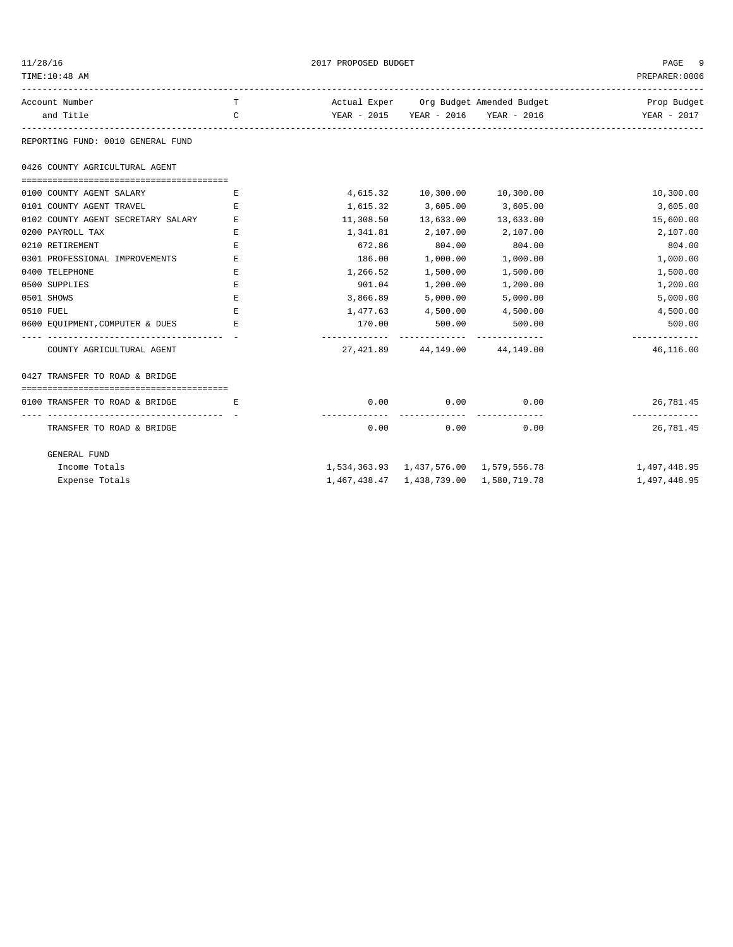| 11/28/16                                                 |              | PAGE<br>-9 |                                        |                                        |                            |  |
|----------------------------------------------------------|--------------|------------|----------------------------------------|----------------------------------------|----------------------------|--|
| TIME:10:48 AM                                            |              |            |                                        |                                        |                            |  |
| Account Number                                           | T.           |            |                                        | Actual Exper Org Budget Amended Budget | Prop Budget                |  |
| and Title                                                | $\mathsf{C}$ |            |                                        | YEAR - 2015 YEAR - 2016 YEAR - 2016    | YEAR - 2017                |  |
| REPORTING FUND: 0010 GENERAL FUND                        |              |            |                                        |                                        |                            |  |
| 0426 COUNTY AGRICULTURAL AGENT                           |              |            |                                        |                                        |                            |  |
| 0100 COUNTY AGENT SALARY                                 | E            |            | 4,615.32 10,300.00 10,300.00           |                                        | 10,300.00                  |  |
| 0101 COUNTY AGENT TRAVEL                                 | Е            | 1,615.32   | 3,605.00                               | 3,605.00                               | 3,605.00                   |  |
| 0102 COUNTY AGENT SECRETARY SALARY                       | Е            | 11,308.50  | 13,633.00                              | 13,633.00                              | 15,600.00                  |  |
| 0200 PAYROLL TAX                                         | Ε            | 1,341.81   | 2,107.00 2,107.00                      |                                        | 2,107.00                   |  |
| 0210 RETIREMENT                                          | Ε            | 672.86     | 804.00                                 | 804.00                                 | 804.00                     |  |
| 0301 PROFESSIONAL IMPROVEMENTS                           | Е            | 186.00     | 1,000.00                               | 1,000.00                               | 1,000.00                   |  |
| 0400 TELEPHONE                                           | Ε            | 1,266.52   | 1,500.00                               | 1,500.00                               | 1,500.00                   |  |
| 0500 SUPPLIES                                            | Е            | 901.04     | 1,200.00                               | 1,200.00                               | 1,200.00                   |  |
| 0501 SHOWS                                               | $\mathbf E$  | 3,866.89   | 5,000.00                               | 5,000.00                               | 5,000.00                   |  |
| 0510 FUEL                                                | Ε            | 1,477.63   | 4,500.00                               | 4,500.00                               | 4,500.00                   |  |
| 0600 EQUIPMENT, COMPUTER & DUES                          | Е            | 170.00     | 500.00                                 | 500.00                                 | 500.00                     |  |
| COUNTY AGRICULTURAL AGENT                                |              |            | 27, 421.89 44, 149.00 44, 149.00       |                                        | 46,116.00                  |  |
| 0427 TRANSFER TO ROAD & BRIDGE                           |              |            |                                        |                                        |                            |  |
| 0100 TRANSFER TO ROAD & BRIDGE<br>and the state of the E |              | 0.00       | 0.00                                   | 0.00                                   | 26,781.45                  |  |
| TRANSFER TO ROAD & BRIDGE                                |              | 0.00       | -----------<br>0.00                    | 0.00                                   | -------------<br>26,781.45 |  |
| <b>GENERAL FUND</b>                                      |              |            |                                        |                                        |                            |  |
| Income Totals                                            |              |            | 1,534,363.93 1,437,576.00 1,579,556.78 |                                        | 1,497,448.95               |  |
| Expense Totals                                           |              |            | 1,467,438.47 1,438,739.00 1,580,719.78 |                                        | 1,497,448.95               |  |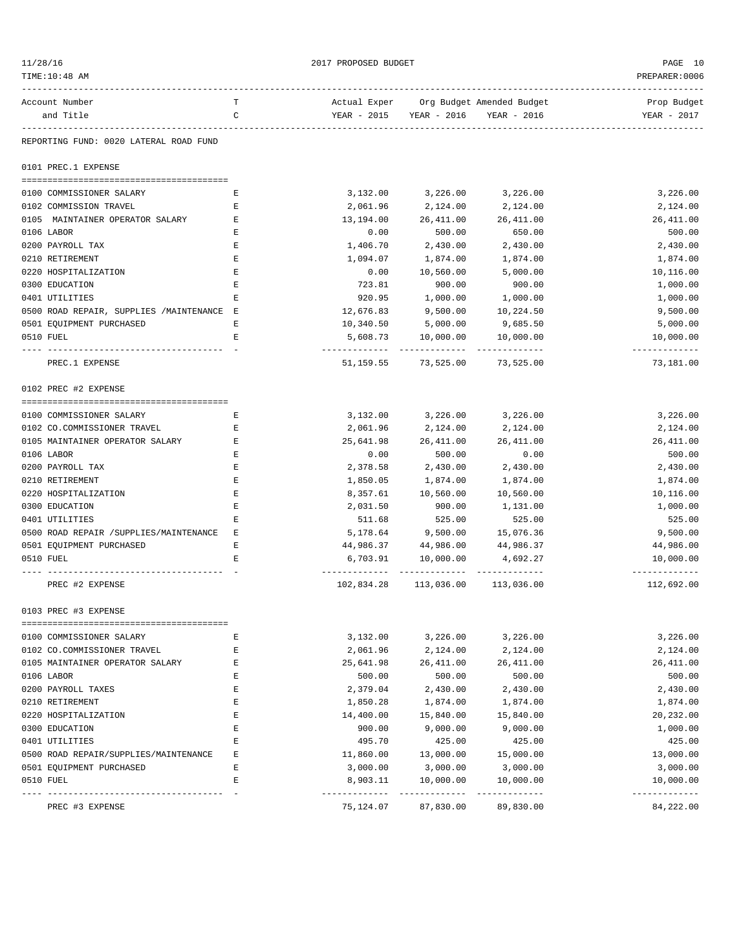| 11/28/16                                  |        | PAGE 10                   |                                          |                                                                            |                            |
|-------------------------------------------|--------|---------------------------|------------------------------------------|----------------------------------------------------------------------------|----------------------------|
| TIME:10:48 AM                             |        |                           |                                          |                                                                            | PREPARER: 0006             |
| Account Number                            | т      |                           |                                          | --------------------------------<br>Actual Exper Org Budget Amended Budget | Prop Budget                |
| and Title                                 | C      |                           | YEAR - 2015 YEAR - 2016                  | YEAR - 2016                                                                | YEAR - 2017                |
| REPORTING FUND: 0020 LATERAL ROAD FUND    |        |                           |                                          |                                                                            |                            |
| 0101 PREC.1 EXPENSE                       |        |                           |                                          |                                                                            |                            |
| 0100 COMMISSIONER SALARY                  | Е      | 3,132.00                  | 3,226.00                                 | 3,226.00                                                                   | 3,226.00                   |
| 0102 COMMISSION TRAVEL                    | Ε      | 2,061.96                  | 2,124.00                                 | 2,124.00                                                                   | 2,124.00                   |
| 0105 MAINTAINER OPERATOR SALARY           | Ε      | 13,194.00                 | 26,411.00                                | 26,411.00                                                                  | 26, 411.00                 |
| 0106 LABOR                                | Ε      | 0.00                      | 500.00                                   | 650.00                                                                     | 500.00                     |
| 0200 PAYROLL TAX                          | Ε      | 1,406.70                  | 2,430.00                                 | 2,430.00                                                                   | 2,430.00                   |
| 0210 RETIREMENT                           | Ε      | 1,094.07                  | 1,874.00                                 | 1,874.00                                                                   | 1,874.00                   |
| 0220 HOSPITALIZATION                      | Ε      | 0.00                      | 10,560.00                                | 5,000.00                                                                   | 10,116.00                  |
| 0300 EDUCATION                            | Ε      | 723.81                    | 900.00                                   | 900.00                                                                     | 1,000.00                   |
| 0401 UTILITIES                            | E      | 920.95                    | 1,000.00                                 | 1,000.00                                                                   | 1,000.00                   |
| 0500 ROAD REPAIR, SUPPLIES /MAINTENANCE E |        | 12,676.83                 | 9,500.00                                 | 10,224.50                                                                  | 9,500.00                   |
| 0501 EQUIPMENT PURCHASED                  | Ε      | 10,340.50                 | 5,000.00                                 | 9,685.50                                                                   | 5,000.00                   |
| 0510 FUEL                                 | E      | 5,608.73                  | 10,000.00                                | 10,000.00                                                                  | 10,000.00                  |
| PREC.1 EXPENSE                            |        |                           | 51,159.55 73,525.00                      | 73,525.00                                                                  | 73,181.00                  |
| 0102 PREC #2 EXPENSE                      |        |                           |                                          |                                                                            |                            |
|                                           |        |                           |                                          |                                                                            |                            |
| 0100 COMMISSIONER SALARY                  | Е      | 3,132.00                  | 3,226.00                                 | 3,226.00                                                                   | 3,226.00                   |
| 0102 CO.COMMISSIONER TRAVEL               | Ε      | 2,061.96                  | 2,124.00                                 | 2,124.00                                                                   | 2,124.00                   |
| 0105 MAINTAINER OPERATOR SALARY           | Ε      | 25,641.98                 | 26, 411.00                               | 26,411.00                                                                  | 26, 411.00                 |
| 0106 LABOR                                | Ε      | 0.00                      | 500.00                                   | 0.00                                                                       | 500.00                     |
| 0200 PAYROLL TAX                          | Ε      | 2,378.58                  | 2,430.00                                 | 2,430.00                                                                   | 2,430.00                   |
| 0210 RETIREMENT                           | Ε      | 1,850.05                  | 1,874.00                                 | 1,874.00                                                                   | 1,874.00                   |
| 0220 HOSPITALIZATION                      | Ε      | 8,357.61                  | 10,560.00                                | 10,560.00                                                                  | 10,116.00                  |
| 0300 EDUCATION                            | Ε      | 2,031.50                  | 900.00                                   | 1,131.00                                                                   | 1,000.00                   |
| 0401 UTILITIES                            | Ε      | 511.68                    | 525.00                                   | 525.00                                                                     | 525.00                     |
| 0500 ROAD REPAIR / SUPPLIES / MAINTENANCE | Ε      | 5,178.64                  | 9,500.00                                 | 15,076.36                                                                  | 9,500.00                   |
| 0501 EOUIPMENT PURCHASED                  | Ε      | 44,986.37                 | 44,986.00                                | 44,986.37                                                                  | 44,986.00                  |
| 0510 FUEL                                 | Ε      | 6,703.91                  | 10,000.00                                | 4,692.27                                                                   | 10,000.00                  |
| PREC #2 EXPENSE                           |        | 102,834.28                | ----------- --------------<br>113,036.00 | --------------<br>113,036.00                                               | ------------<br>112,692.00 |
| 0103 PREC #3 EXPENSE                      |        |                           |                                          |                                                                            |                            |
| 0100 COMMISSIONER SALARY                  | Ε      | 3,132.00                  | 3,226.00                                 | 3,226.00                                                                   | 3,226.00                   |
| 0102 CO.COMMISSIONER TRAVEL               | Ε      | 2,061.96                  | 2,124.00                                 | 2,124.00                                                                   | 2,124.00                   |
| 0105 MAINTAINER OPERATOR SALARY           | Ε      | 25,641.98                 | 26, 411.00                               | 26,411.00                                                                  | 26, 411.00                 |
| 0106 LABOR                                |        | 500.00                    | 500.00                                   |                                                                            | 500.00                     |
|                                           | E<br>Ε | 2,379.04                  |                                          | 500.00                                                                     |                            |
| 0200 PAYROLL TAXES                        |        |                           | 2,430.00                                 | 2,430.00                                                                   | 2,430.00                   |
| 0210 RETIREMENT                           | Ε      | 1,850.28                  | 1,874.00                                 | 1,874.00                                                                   | 1,874.00                   |
| 0220 HOSPITALIZATION                      | E      | 14,400.00                 | 15,840.00                                | 15,840.00                                                                  | 20,232.00                  |
| 0300 EDUCATION                            | Ε      | 900.00                    | 9,000.00                                 | 9,000.00                                                                   | 1,000.00                   |
| 0401 UTILITIES                            | Ε      | 495.70                    | 425.00                                   | 425.00                                                                     | 425.00                     |
| 0500 ROAD REPAIR/SUPPLIES/MAINTENANCE     | Ε      | 11,860.00                 | 13,000.00                                | 15,000.00                                                                  | 13,000.00                  |
| 0501 EQUIPMENT PURCHASED                  | Ε      | 3,000.00                  | 3,000.00                                 | 3,000.00                                                                   | 3,000.00                   |
| 0510 FUEL                                 | E      | 8,903.11<br>------------- | 10,000.00<br>-------------               | 10,000.00<br>-------------                                                 | 10,000.00<br>------------- |
| PREC #3 EXPENSE                           |        | 75,124.07                 | 87,830.00                                | 89,830.00                                                                  | 84,222.00                  |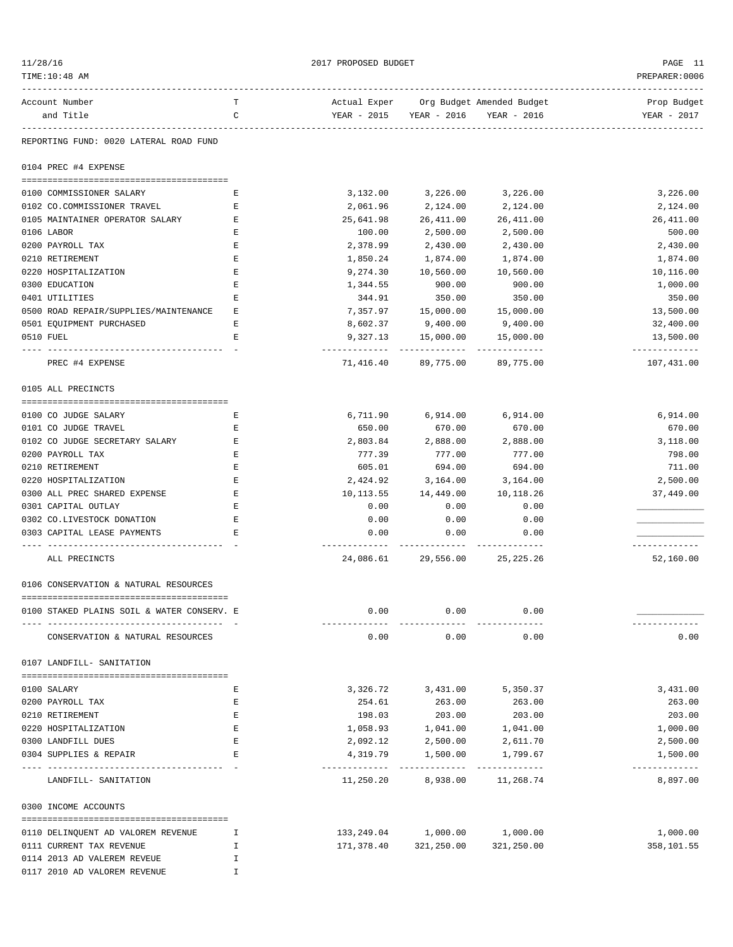| 11/28/16<br>TIME:10:48 AM                                     |        | 2017 PROPOSED BUDGET                    |                                                                               |                            | PAGE 11<br>PREPARER: 0006  |
|---------------------------------------------------------------|--------|-----------------------------------------|-------------------------------------------------------------------------------|----------------------------|----------------------------|
| Account Number<br>and Title                                   | т<br>C |                                         | Actual Exper Org Budget Amended Budget<br>YEAR - 2015 YEAR - 2016 YEAR - 2016 |                            | Prop Budget<br>YEAR - 2017 |
| REPORTING FUND: 0020 LATERAL ROAD FUND                        |        |                                         |                                                                               |                            |                            |
| 0104 PREC #4 EXPENSE                                          |        |                                         |                                                                               |                            |                            |
| 0100 COMMISSIONER SALARY                                      | Е      | 3,132.00                                | 3,226.00                                                                      | 3,226.00                   | 3,226.00                   |
| 0102 CO.COMMISSIONER TRAVEL                                   | Е      | 2,061.96                                | 2,124.00                                                                      | 2,124.00                   | 2,124.00                   |
| 0105 MAINTAINER OPERATOR SALARY                               | Е      | 25,641.98                               | 26,411.00                                                                     | 26,411.00                  | 26, 411.00                 |
| 0106 LABOR                                                    | Е      | 100.00                                  | 2,500.00                                                                      | 2,500.00                   | 500.00                     |
| 0200 PAYROLL TAX                                              | Е      | 2,378.99                                | 2,430.00                                                                      | 2,430.00                   | 2,430.00                   |
| 0210 RETIREMENT                                               | Е      | 1,850.24                                | 1,874.00                                                                      | 1,874.00                   | 1,874.00                   |
| 0220 HOSPITALIZATION                                          | Е      | 9,274.30                                | 10,560.00                                                                     | 10,560.00                  | 10,116.00                  |
| 0300 EDUCATION                                                | Е      | 1,344.55                                | 900.00                                                                        | 900.00                     | 1,000.00                   |
| 0401 UTILITIES                                                | Е      | 344.91                                  | 350.00                                                                        | 350.00                     | 350.00                     |
| 0500 ROAD REPAIR/SUPPLIES/MAINTENANCE                         | Е      | 7,357.97                                | 15,000.00                                                                     | 15,000.00                  | 13,500.00                  |
| 0501 EOUIPMENT PURCHASED                                      | Е      | 8,602.37                                | 9,400.00                                                                      | 9,400.00                   | 32,400.00                  |
| 0510 FUEL                                                     | Е      | 9,327.13                                | 15,000.00<br>. _ _ _ _ _ _ _ _ _ _ _                                          | 15,000.00<br>------------- | 13,500.00<br>------------- |
| PREC #4 EXPENSE                                               |        |                                         | 71,416.40 89,775.00 89,775.00                                                 |                            | 107,431.00                 |
| 0105 ALL PRECINCTS                                            |        |                                         |                                                                               |                            |                            |
| 0100 CO JUDGE SALARY                                          | Е      | 6,711.90                                | 6,914.00                                                                      | 6,914.00                   | 6,914.00                   |
| 0101 CO JUDGE TRAVEL                                          | Е      | 650.00                                  | 670.00                                                                        | 670.00                     | 670.00                     |
| 0102 CO JUDGE SECRETARY SALARY                                | Е      | 2,803.84                                | 2,888.00                                                                      | 2,888.00                   | 3,118.00                   |
| 0200 PAYROLL TAX                                              | Е      | 777.39                                  | 777.00                                                                        | 777.00                     | 798.00                     |
| 0210 RETIREMENT                                               | Е      | 605.01                                  | 694.00                                                                        | 694.00                     | 711.00                     |
| 0220 HOSPITALIZATION                                          | Е      | 2,424.92                                | 3,164.00                                                                      | 3,164.00                   | 2,500.00                   |
| 0300 ALL PREC SHARED EXPENSE                                  | Ε      | 10,113.55                               | 14,449.00                                                                     | 10,118.26                  | 37,449.00                  |
| 0301 CAPITAL OUTLAY                                           | Е      | 0.00                                    | 0.00                                                                          | 0.00                       |                            |
| 0302 CO.LIVESTOCK DONATION                                    | Е      | 0.00                                    | 0.00                                                                          | 0.00                       |                            |
| 0303 CAPITAL LEASE PAYMENTS                                   | Е      | 0.00                                    | 0.00                                                                          | 0.00                       |                            |
| ---------------------<br>ALL PRECINCTS                        |        | -------------                           | --------------<br>24,086.61 29,556.00 25,225.26                               | --------------             | 52,160.00                  |
| 0106 CONSERVATION & NATURAL RESOURCES                         |        |                                         |                                                                               |                            |                            |
|                                                               |        |                                         |                                                                               |                            |                            |
| 0100 STAKED PLAINS SOIL & WATER CONSERV. E                    |        | 0.00                                    | 0.00                                                                          | 0.00                       |                            |
| CONSERVATION & NATURAL RESOURCES                              |        | ---------<br>0.00                       | -----------<br>0.00                                                           | 0.00                       | 0.00                       |
| 0107 LANDFILL- SANITATION                                     |        |                                         |                                                                               |                            |                            |
|                                                               |        |                                         |                                                                               |                            |                            |
| 0100 SALARY                                                   | Е      | 3,326.72                                | 3,431.00                                                                      | 5,350.37                   | 3,431.00                   |
| 0200 PAYROLL TAX                                              | Е      | 254.61                                  | 263.00                                                                        | 263.00                     | 263.00                     |
| 0210 RETIREMENT                                               | Ε      | 198.03                                  | 203.00                                                                        | 203.00                     | 203.00                     |
| 0220 HOSPITALIZATION                                          | Ε      | 1,058.93                                | 1,041.00                                                                      | 1,041.00                   | 1,000.00                   |
| 0300 LANDFILL DUES                                            | Е      | 2,092.12                                | 2,500.00                                                                      | 2,611.70                   | 2,500.00                   |
| 0304 SUPPLIES & REPAIR<br>----------------------------------- | Е      | 4,319.79<br>------------- ------------- | 1,500.00                                                                      | 1,799.67<br>-------------  | 1,500.00<br>-------------  |
| LANDFILL- SANITATION                                          |        | 11,250.20                               | 8,938.00                                                                      | 11,268.74                  | 8,897.00                   |
| 0300 INCOME ACCOUNTS                                          |        |                                         |                                                                               |                            |                            |
| 0110 DELINQUENT AD VALOREM REVENUE                            | T      |                                         | 133,249.04 1,000.00 1,000.00                                                  |                            | 1,000.00                   |
| 0111 CURRENT TAX REVENUE                                      | I      |                                         | 171,378.40 321,250.00 321,250.00                                              |                            | 358,101.55                 |
| 0114 2013 AD VALEREM REVEUE                                   | I.     |                                         |                                                                               |                            |                            |
| 0117 2010 AD VALOREM REVENUE                                  | I.     |                                         |                                                                               |                            |                            |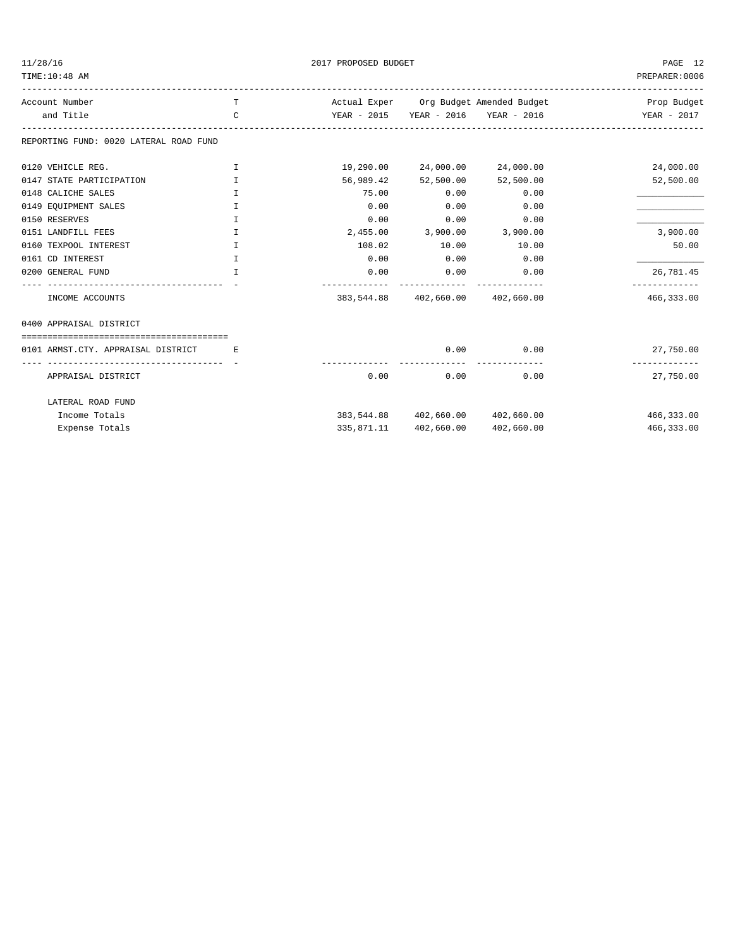TIME:10:48 AM PREPARER:0006

 $2017 \text{ PROPOSED BUDGET} \tag{PAGE} 12$ 

| Account Number                         | T            |           |                                  | Actual Exper Org Budget Amended Budget | Prop Budget |
|----------------------------------------|--------------|-----------|----------------------------------|----------------------------------------|-------------|
| and Title                              | $\mathsf{C}$ |           |                                  | YEAR - 2015 YEAR - 2016 YEAR - 2016    | YEAR - 2017 |
| REPORTING FUND: 0020 LATERAL ROAD FUND |              |           |                                  |                                        |             |
| 0120 VEHICLE REG.                      | I            | 19,290.00 | 24,000.00                        | 24,000.00                              | 24,000.00   |
| 0147 STATE PARTICIPATION               | I            | 56,989.42 | 52,500.00                        | 52,500.00                              | 52,500.00   |
| 0148 CALICHE SALES                     | I            | 75.00     | 0.00                             | 0.00                                   |             |
| 0149 EQUIPMENT SALES                   | I            | 0.00      | 0.00                             | 0.00                                   |             |
| 0150 RESERVES                          | T.           | 0.00      | 0.00                             | 0.00                                   |             |
| 0151 LANDFILL FEES                     | I            | 2,455.00  | 3,900.00                         | 3,900.00                               | 3,900.00    |
| 0160 TEXPOOL INTEREST                  | I            | 108.02    | 10.00                            | 10.00                                  | 50.00       |
| 0161 CD INTEREST                       | T.           | 0.00      | 0.00                             | 0.00                                   |             |
| 0200 GENERAL FUND                      | $\mathbb{I}$ | 0.00      | 0.00                             | 0.00                                   | 26,781.45   |
| INCOME ACCOUNTS                        |              |           | 383,544.88 402,660.00 402,660.00 |                                        | 466, 333.00 |
| 0400 APPRAISAL DISTRICT                |              |           |                                  |                                        |             |
|                                        |              |           |                                  |                                        |             |
| 0101 ARMST.CTY. APPRAISAL DISTRICT     | E.           |           | 0.00                             | 0.00                                   | 27,750.00   |
| APPRAISAL DISTRICT                     |              | 0.00      | 0.00                             | 0.00                                   | 27,750.00   |
| LATERAL ROAD FUND                      |              |           |                                  |                                        |             |
| Income Totals                          |              |           | 383,544.88 402,660.00 402,660.00 |                                        | 466,333.00  |
| Expense Totals                         |              |           | 335,871.11 402,660.00            | 402,660.00                             | 466,333.00  |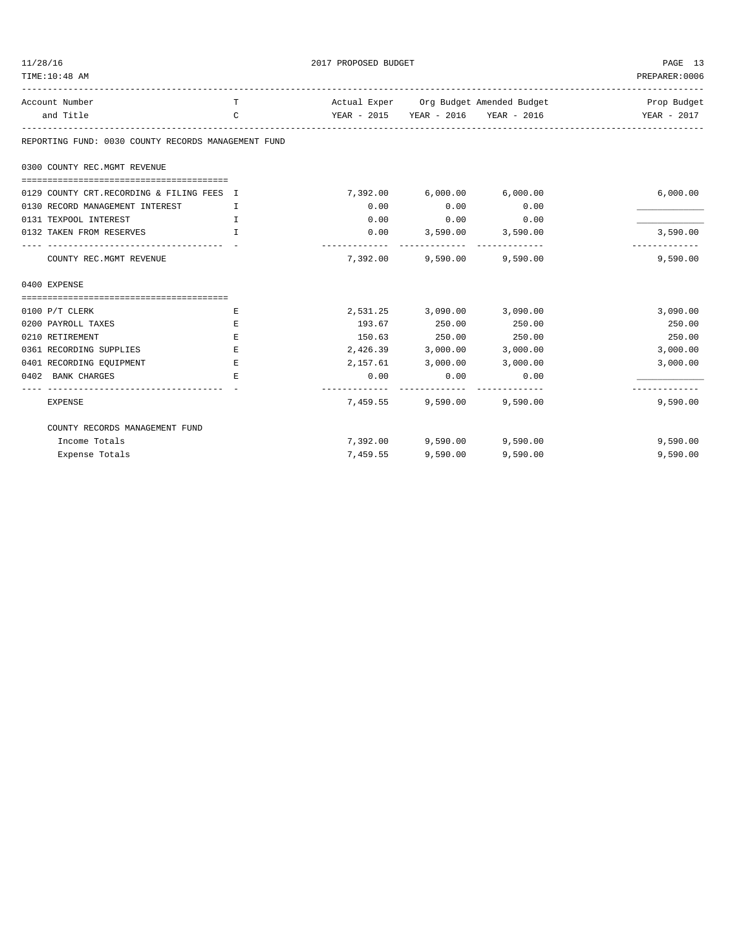| 11/28/16<br>TIME: 10:48 AM                          | 2017 PROPOSED BUDGET | PAGE 13<br>PREPARER: 0006 |                            |                                        |               |
|-----------------------------------------------------|----------------------|---------------------------|----------------------------|----------------------------------------|---------------|
| Account Number                                      | T                    |                           |                            | Actual Exper Org Budget Amended Budget | Prop Budget   |
| and Title                                           | $\mathcal{C}$        |                           |                            | YEAR - 2015 YEAR - 2016 YEAR - 2016    | YEAR - 2017   |
| REPORTING FUND: 0030 COUNTY RECORDS MANAGEMENT FUND |                      |                           |                            |                                        |               |
| 0300 COUNTY REC.MGMT REVENUE                        |                      |                           |                            |                                        |               |
| 0129 COUNTY CRT.RECORDING & FILING FEES I           |                      |                           | 7,392.00 6,000.00 6,000.00 |                                        | 6,000.00      |
| 0130 RECORD MANAGEMENT INTEREST                     | $\top$               | 0.00                      | 0.00                       | 0.00                                   |               |
| 0131 TEXPOOL INTEREST                               | $\mathbf{I}$         | 0.00                      | 0.00                       | 0.00                                   |               |
| 0132 TAKEN FROM RESERVES                            | $\mathbf{T}$         |                           | $0.00$ 3,590.00 3,590.00   |                                        | 3,590.00      |
|                                                     |                      | --------------            |                            |                                        | ------------- |
| COUNTY REC.MGMT REVENUE                             |                      |                           | 7,392.00 9,590.00 9,590.00 |                                        | 9,590.00      |
| 0400 EXPENSE                                        |                      |                           |                            |                                        |               |
|                                                     |                      |                           |                            |                                        |               |
| $0100$ P/T CLERK                                    | Е                    |                           | 2,531.25 3,090.00 3,090.00 |                                        | 3,090.00      |
| 0200 PAYROLL TAXES                                  | Е                    |                           | 193.67 250.00              | 250.00                                 | 250.00        |
| 0210 RETIREMENT                                     | Ε                    |                           | 150.63 250.00              | 250.00                                 | 250.00        |
| 0361 RECORDING SUPPLIES                             | E.                   |                           | 2,426.39 3,000.00 3,000.00 |                                        | 3,000.00      |
| 0401 RECORDING EQUIPMENT                            | Е                    |                           | 2,157.61 3,000.00          | 3,000.00                               | 3,000.00      |
| 0402 BANK CHARGES                                   | E.                   | 0.00                      | 0.00                       | 0.00                                   |               |
| <b>EXPENSE</b>                                      |                      |                           | 7,459.55 9,590.00 9,590.00 | ----------- --------------             | 9,590.00      |
| COUNTY RECORDS MANAGEMENT FUND                      |                      |                           |                            |                                        |               |
| Income Totals                                       |                      |                           | 7,392.00 9,590.00 9,590.00 |                                        | 9,590.00      |
| Expense Totals                                      |                      | 7,459.55                  | 9,590.00                   | 9,590.00                               | 9,590.00      |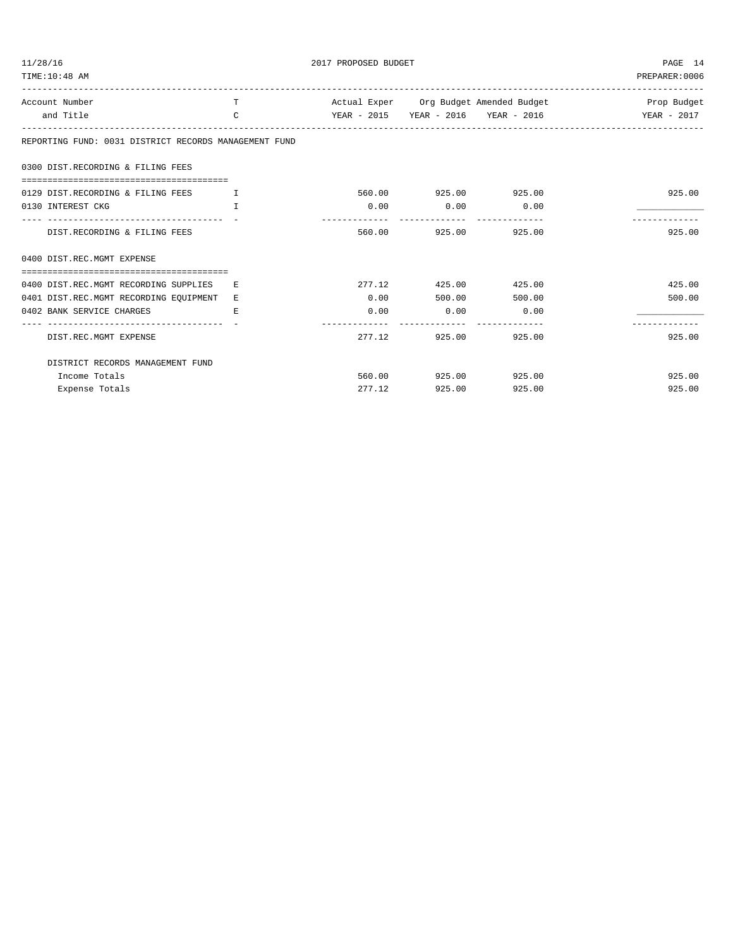| 11/28/16<br>TIME: 10:48 AM                            | PAGE 14<br>PREPARER: 0006 |        |                             |               |                                                              |
|-------------------------------------------------------|---------------------------|--------|-----------------------------|---------------|--------------------------------------------------------------|
| Account Number                                        | T.                        |        |                             |               | Actual Exper Org Budget Amended Budget 1988 1989 Prop Budget |
| and Title                                             | $\mathcal{C}$             |        |                             |               |                                                              |
| REPORTING FUND: 0031 DISTRICT RECORDS MANAGEMENT FUND |                           |        |                             |               |                                                              |
| 0300 DIST.RECORDING & FILING FEES                     |                           |        |                             |               |                                                              |
| 0129 DIST.RECORDING & FILING FEES<br>and the Total To |                           |        | 560.00 925.00 925.00        |               | 925.00                                                       |
| 0130 INTEREST CKG                                     | T.                        |        | $0.00$ $0.00$ $0.00$ $0.00$ |               |                                                              |
| DIST.RECORDING & FILING FEES                          |                           |        | 560.00 925.00 925.00        |               | 925.00                                                       |
| 0400 DIST.REC.MGMT EXPENSE                            |                           |        |                             |               |                                                              |
| 0400 DIST.REC.MGMT RECORDING SUPPLIES                 | E.                        |        | 277.12 425.00 425.00        |               | 425.00                                                       |
| 0401 DIST.REC.MGMT RECORDING EQUIPMENT                | E.                        | 0.00   |                             | 500.00 500.00 | 500.00                                                       |
| 0402 BANK SERVICE CHARGES                             | E.                        | 0.00   | 0.00                        | 0.00          |                                                              |
|                                                       |                           |        |                             |               |                                                              |
| DIST.REC.MGMT EXPENSE                                 |                           | 277.12 |                             | 925.00 925.00 | 925.00                                                       |
| DISTRICT RECORDS MANAGEMENT FUND                      |                           |        |                             |               |                                                              |
| Income Totals                                         |                           |        | 560.00 925.00 925.00        |               | 925.00                                                       |
| Expense Totals                                        |                           | 277.12 | 925.00                      | 925.00        | 925.00                                                       |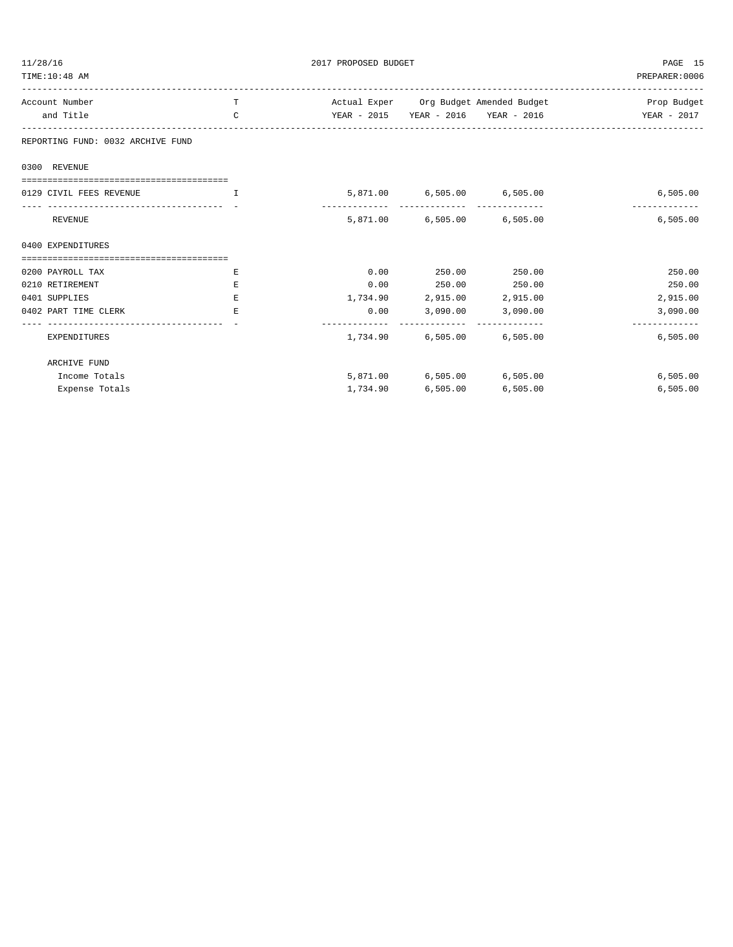| 11/28/16<br>TIME: 10:48 AM             |                                                                                                                                                                                                                                | 2017 PROPOSED BUDGET | PAGE 15<br>PREPARER:0006   |          |                                                              |
|----------------------------------------|--------------------------------------------------------------------------------------------------------------------------------------------------------------------------------------------------------------------------------|----------------------|----------------------------|----------|--------------------------------------------------------------|
| Account Number                         | T                                                                                                                                                                                                                              |                      |                            |          | Actual Exper Org Budget Amended Budget 1988 1989 Prop Budget |
| and Title                              | $\mathcal{C}$                                                                                                                                                                                                                  |                      |                            |          |                                                              |
| REPORTING FUND: 0032 ARCHIVE FUND      |                                                                                                                                                                                                                                |                      |                            |          |                                                              |
| 0300 REVENUE                           |                                                                                                                                                                                                                                |                      |                            |          |                                                              |
|                                        |                                                                                                                                                                                                                                |                      |                            |          |                                                              |
| 0129 CIVIL FEES REVENUE                | and the contract of the contract of the contract of the contract of the contract of the contract of the contract of the contract of the contract of the contract of the contract of the contract of the contract of the contra |                      | 5,871.00 6,505.00 6,505.00 |          | 6,505.00                                                     |
| REVENUE                                |                                                                                                                                                                                                                                |                      | 5,871.00 6,505.00 6,505.00 |          | -------------<br>6,505.00                                    |
| 0400 EXPENDITURES                      |                                                                                                                                                                                                                                |                      |                            |          |                                                              |
| ====================================== |                                                                                                                                                                                                                                |                      |                            |          |                                                              |
| 0200 PAYROLL TAX                       | Ε                                                                                                                                                                                                                              | 0.00                 | 250.00 250.00              |          | 250.00                                                       |
| 0210 RETIREMENT                        | E.                                                                                                                                                                                                                             |                      | $0.00$ 250.00 250.00       |          | 250.00                                                       |
| 0401 SUPPLIES                          | E                                                                                                                                                                                                                              |                      | 1,734.90 2,915.00 2,915.00 |          | 2,915.00                                                     |
| 0402 PART TIME CLERK                   | E.                                                                                                                                                                                                                             |                      | $0.00$ 3,090.00 3,090.00   |          | 3,090.00<br>-------------                                    |
| EXPENDITURES                           |                                                                                                                                                                                                                                |                      | 1,734.90 6,505.00 6,505.00 |          | 6.505.00                                                     |
| ARCHIVE FUND                           |                                                                                                                                                                                                                                |                      |                            |          |                                                              |
| Income Totals                          |                                                                                                                                                                                                                                |                      | 5,871.00 6,505.00 6,505.00 |          | 6,505.00                                                     |
| Expense Totals                         |                                                                                                                                                                                                                                |                      | 1,734.90 6,505.00          | 6,505.00 | 6,505.00                                                     |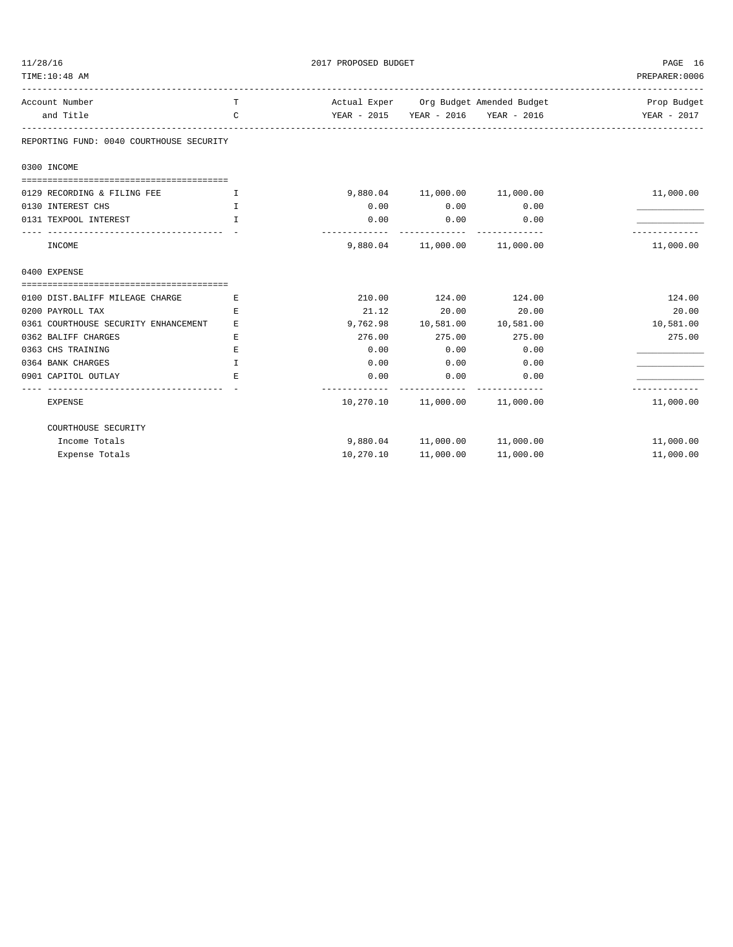| 11/28/16                                      |               | PAGE 16            |                                   |                                        |                |
|-----------------------------------------------|---------------|--------------------|-----------------------------------|----------------------------------------|----------------|
| TIME:10:48 AM<br>---------------------------- |               |                    |                                   |                                        | PREPARER: 0006 |
| Account Number                                | T.            |                    |                                   | Actual Exper Org Budget Amended Budget | Prop Budget    |
| and Title                                     | $\mathcal{C}$ |                    |                                   | YEAR - 2015 YEAR - 2016 YEAR - 2016    | YEAR - 2017    |
| REPORTING FUND: 0040 COURTHOUSE SECURITY      |               |                    |                                   |                                        |                |
| 0300 INCOME                                   |               |                    |                                   |                                        |                |
|                                               |               |                    |                                   |                                        |                |
| 0129 RECORDING & FILING FEE                   | $\mathbf I$   |                    | 9,880.04  11,000.00  11,000.00    |                                        | 11,000.00      |
| 0130 INTEREST CHS                             | $\mathbb{T}$  | 0.00               | 0.00                              | 0.00                                   |                |
| 0131 TEXPOOL INTEREST                         | T.            | 0.00<br>---------- | 0.00                              | 0.00                                   |                |
| INCOME                                        |               |                    | 9,880.04   11,000.00   11,000.00  |                                        | 11,000.00      |
| 0400 EXPENSE                                  |               |                    |                                   |                                        |                |
|                                               |               |                    |                                   |                                        |                |
| 0100 DIST. BALIFF MILEAGE CHARGE              | E.            | 210.00             | 124.00                            | 124.00                                 | 124.00         |
| 0200 PAYROLL TAX                              | E.            | 21.12              | 20.00                             | 20.00                                  | 20.00          |
| 0361 COURTHOUSE SECURITY ENHANCEMENT          | E.            | 9,762.98           | 10,581.00  10,581.00              |                                        | 10,581.00      |
| 0362 BALIFF CHARGES                           | E.            | 276.00             | 275.00                            | 275.00                                 | 275.00         |
| 0363 CHS TRAINING                             | E             | 0.00               | 0.00                              | 0.00                                   |                |
| 0364 BANK CHARGES                             | I             | 0.00               | 0.00                              | 0.00                                   |                |
| 0901 CAPITOL OUTLAY                           | Е.            | 0.00               | 0.00                              | 0.00                                   |                |
| <b>EXPENSE</b>                                |               |                    | 10,270.10   11,000.00   11,000.00 |                                        | 11,000.00      |
| COURTHOUSE SECURITY                           |               |                    |                                   |                                        |                |
| Income Totals                                 |               |                    | 9,880.04  11,000.00  11,000.00    |                                        | 11,000.00      |
| Expense Totals                                |               | 10,270.10          | 11,000.00                         | 11,000.00                              | 11,000.00      |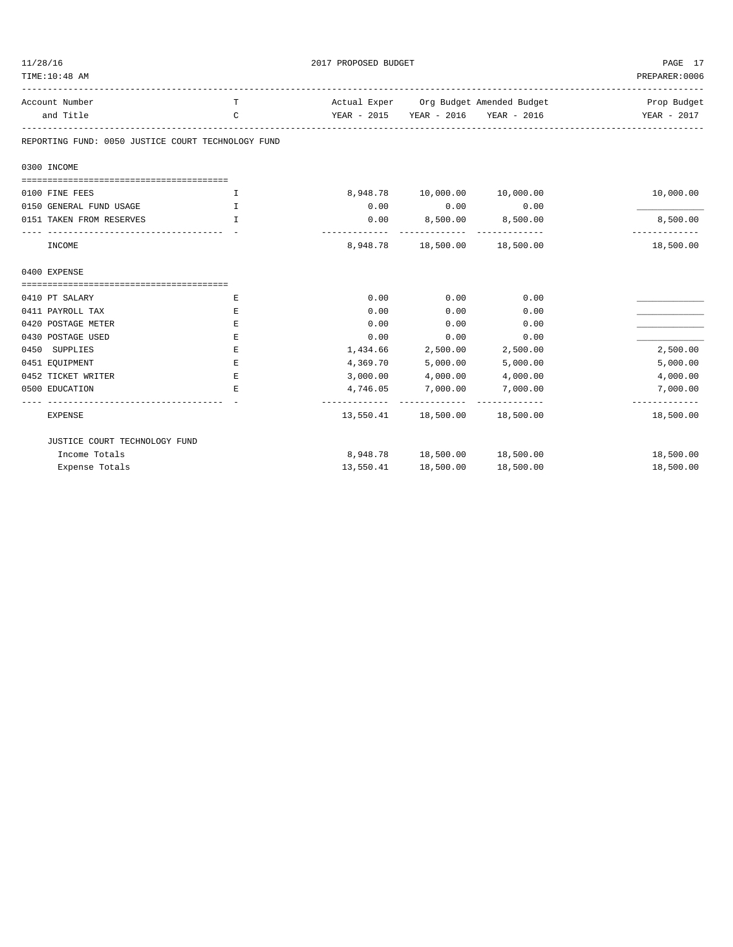| 11/28/16<br>TIME:10:48 AM                          |             | 2017 PROPOSED BUDGET       |                                     |                                        |                           |  |
|----------------------------------------------------|-------------|----------------------------|-------------------------------------|----------------------------------------|---------------------------|--|
|                                                    |             |                            |                                     |                                        | PREPARER: 0006            |  |
| Account Number                                     | T           |                            |                                     | Actual Exper Org Budget Amended Budget | Prop Budget               |  |
| and Title                                          | C           |                            | YEAR - 2015 YEAR - 2016 YEAR - 2016 |                                        | YEAR - 2017               |  |
| REPORTING FUND: 0050 JUSTICE COURT TECHNOLOGY FUND |             |                            |                                     |                                        |                           |  |
| 0300 INCOME                                        |             |                            |                                     |                                        |                           |  |
| 0100 FINE FEES                                     | I           |                            | 8,948.78    10,000.00    10,000.00  |                                        | 10,000.00                 |  |
| 0150 GENERAL FUND USAGE                            | I           | 0.00                       | 0.00                                | 0.00                                   |                           |  |
| 0151 TAKEN FROM RESERVES                           | I           | 0.00                       | 8,500.00 8,500.00                   |                                        | 8,500.00<br>------------- |  |
| INCOME                                             |             |                            | 8,948.78 18,500.00 18,500.00        |                                        | 18,500.00                 |  |
| 0400 EXPENSE                                       |             |                            |                                     |                                        |                           |  |
|                                                    |             |                            |                                     |                                        |                           |  |
| 0410 PT SALARY                                     | Е           | 0.00                       | 0.00                                | 0.00                                   |                           |  |
| 0411 PAYROLL TAX                                   | Е           | 0.00                       | 0.00                                | 0.00                                   |                           |  |
| 0420 POSTAGE METER                                 | E           | 0.00                       | 0.00                                | 0.00                                   |                           |  |
| 0430 POSTAGE USED                                  | $\mathbf E$ | 0.00                       | 0.00                                | 0.00                                   |                           |  |
| 0450 SUPPLIES                                      | Е           | 1,434.66                   | 2,500.00                            | 2,500.00                               | 2,500.00                  |  |
| 0451 EQUIPMENT                                     | $\mathbf E$ | 4,369.70                   | 5,000.00                            | 5,000.00                               | 5,000.00                  |  |
| 0452 TICKET WRITER                                 | $\mathbf E$ | 3,000.00                   | 4,000.00                            | 4,000.00                               | 4,000.00                  |  |
| 0500 EDUCATION                                     | E.          | 4,746.05<br>-------------- | 7,000.00<br>--------------          | 7,000.00                               | 7,000.00<br>------------- |  |
| <b>EXPENSE</b>                                     |             |                            | 13,550.41  18,500.00  18,500.00     |                                        | 18,500.00                 |  |
| JUSTICE COURT TECHNOLOGY FUND                      |             |                            |                                     |                                        |                           |  |
| Income Totals                                      |             |                            | 8,948.78  18,500.00  18,500.00      |                                        | 18,500.00                 |  |
| Expense Totals                                     |             | 13,550.41                  | 18,500.00                           | 18,500.00                              | 18,500.00                 |  |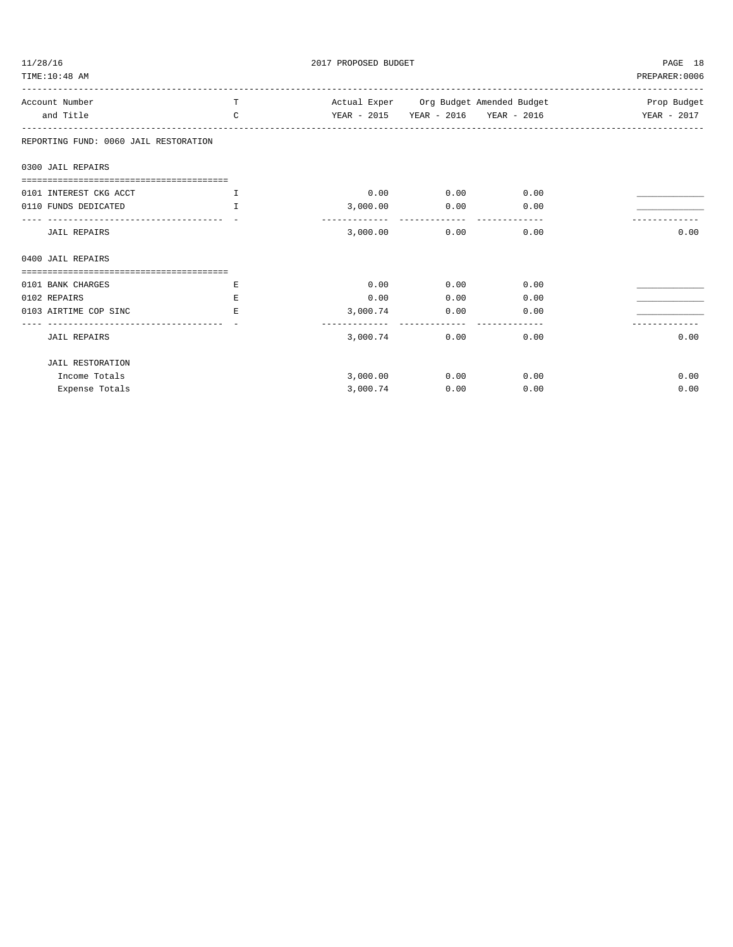| 11/28/16                                                      |               | 2017 PROPOSED BUDGET                                                                | PAGE 18                     |      |                |
|---------------------------------------------------------------|---------------|-------------------------------------------------------------------------------------|-----------------------------|------|----------------|
| TIME: 10:48 AM                                                |               |                                                                                     |                             |      | PREPARER: 0006 |
| Account Number                                                | T.            | Actual Exper     Org Budget Amended Budget                              Prop Budget |                             |      |                |
| and Title                                                     | $\mathcal{C}$ | YEAR - 2015 YEAR - 2016 YEAR - 2016 YEAR - 2017                                     |                             |      |                |
| REPORTING FUND: 0060 JAIL RESTORATION                         |               |                                                                                     |                             |      |                |
| 0300 JAIL REPAIRS                                             |               |                                                                                     |                             |      |                |
| 0101 INTEREST CKG ACCT                                        | п.            |                                                                                     | $0.00$ $0.00$ $0.00$ $0.00$ |      |                |
| 0110 FUNDS DEDICATED                                          | T             |                                                                                     | 3,000.00 0.00 0.00          |      |                |
| --------------------------------------<br><b>JAIL REPAIRS</b> |               | 3,000.00                                                                            | 0.00                        | 0.00 | 0.00           |
| 0400 JAIL REPAIRS                                             |               |                                                                                     |                             |      |                |
|                                                               |               |                                                                                     |                             |      |                |
| 0101 BANK CHARGES                                             | Е             | 0.00                                                                                | 0.00                        | 0.00 |                |
| 0102 REPAIRS                                                  | E.            | 0.00                                                                                | 0.00                        | 0.00 |                |
| 0103 AIRTIME COP SINC                                         | E.            |                                                                                     | 3,000.74 0.00               | 0.00 |                |
| <b>JAIL REPAIRS</b>                                           |               | 3,000.74                                                                            | 0.00                        | 0.00 | 0.00           |
| <b>JAIL RESTORATION</b>                                       |               |                                                                                     |                             |      |                |
| Income Totals                                                 |               | 3,000.00                                                                            | 0.00                        | 0.00 | 0.00           |
| Expense Totals                                                |               | 3,000.74                                                                            | 0.00                        | 0.00 | 0.00           |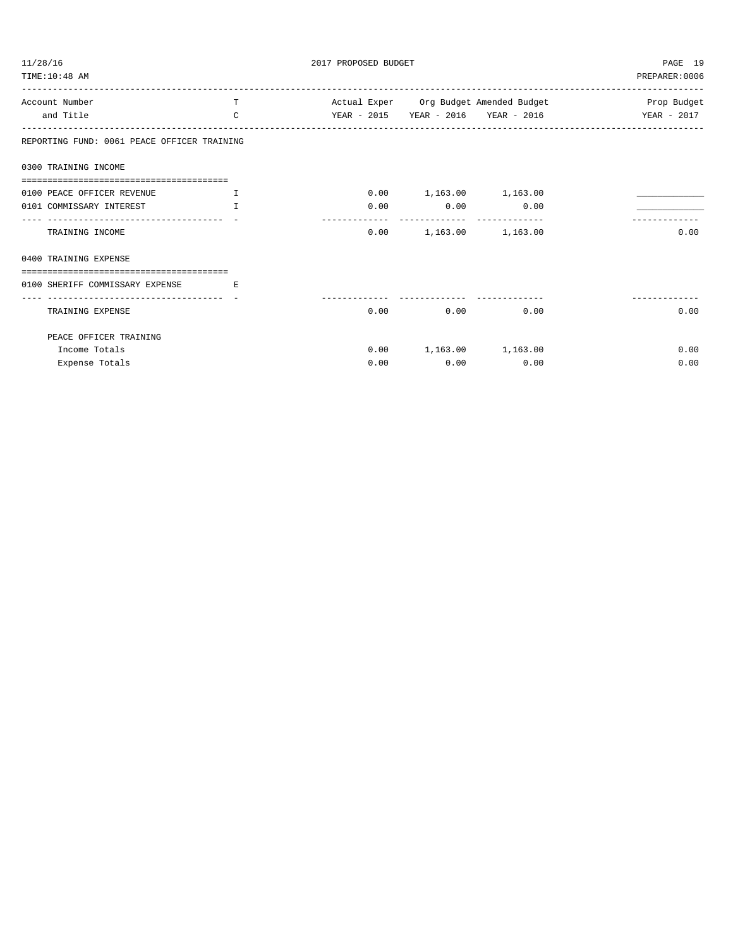| 11/28/16<br>2017 PROPOSED BUDGET                                    |                         |      |                          |                                                 | PAGE 19        |
|---------------------------------------------------------------------|-------------------------|------|--------------------------|-------------------------------------------------|----------------|
| TIME: 10:48 AM                                                      |                         |      |                          |                                                 | PREPARER: 0006 |
| Account Number                                                      | T                       |      |                          | Actual Exper Org Budget Amended Budget          | Prop Budget    |
| and Title                                                           | $\mathcal{C}$           |      |                          | YEAR - 2015 YEAR - 2016 YEAR - 2016 YEAR - 2017 |                |
| REPORTING FUND: 0061 PEACE OFFICER TRAINING                         |                         |      |                          |                                                 |                |
| 0300 TRAINING INCOME                                                |                         |      |                          |                                                 |                |
|                                                                     |                         |      |                          |                                                 |                |
| 0100 PEACE OFFICER REVENUE<br>$\mathbf{T}$ . The state $\mathbf{T}$ |                         |      | $0.00$ 1,163.00 1,163.00 |                                                 |                |
| 0101 COMMISSARY INTEREST                                            | T                       | 0.00 | 0.00                     | 0.00                                            |                |
|                                                                     |                         |      |                          |                                                 |                |
| TRAINING INCOME                                                     |                         |      | $0.00$ 1,163.00 1,163.00 |                                                 | 0.00           |
| 0400 TRAINING EXPENSE                                               |                         |      |                          |                                                 |                |
|                                                                     |                         |      |                          |                                                 |                |
| 0100 SHERIFF COMMISSARY EXPENSE                                     | and the state of the Ri |      |                          |                                                 |                |
|                                                                     |                         |      |                          |                                                 |                |
| TRAINING EXPENSE                                                    |                         |      | $0.00$ $0.00$ $0.00$     |                                                 | 0.00           |
| PEACE OFFICER TRAINING                                              |                         |      |                          |                                                 |                |
| Income Totals                                                       |                         |      | $0.00$ 1,163.00 1,163.00 |                                                 | 0.00           |
| Expense Totals                                                      |                         | 0.00 | 0.00                     | 0.00                                            | 0.00           |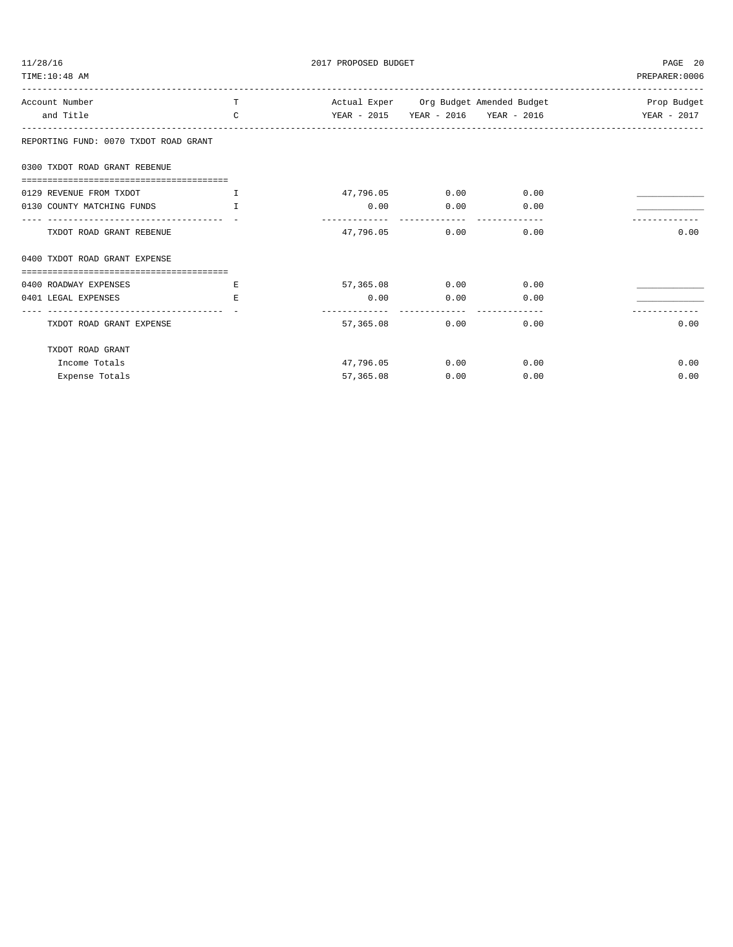| 11/28/16                                                                                   | 2017 PROPOSED BUDGET |                                                             |                             | PAGE 20 |                |
|--------------------------------------------------------------------------------------------|----------------------|-------------------------------------------------------------|-----------------------------|---------|----------------|
| TIME:10:48 AM                                                                              |                      |                                                             |                             |         | PREPARER: 0006 |
| Account Number                                                                             | $T$ and $T$          | Actual Exper Org Budget Amended Budget National Prop Budget |                             |         |                |
| and Title                                                                                  | $\mathbf{C}$         |                                                             |                             |         |                |
| REPORTING FUND: 0070 TXDOT ROAD GRANT                                                      |                      |                                                             |                             |         |                |
| 0300 TXDOT ROAD GRANT REBENUE                                                              |                      |                                                             |                             |         |                |
| 0129 REVENUE FROM TXDOT<br>. The contract of the contract of $\mathbf I$ , and $\mathbf I$ |                      |                                                             | 47,796.05 0.00 0.00         |         |                |
| 0130 COUNTY MATCHING FUNDS                                                                 | T                    |                                                             | $0.00$ $0.00$ $0.00$ $0.00$ |         |                |
| ---------------------------------- -<br>TXDOT ROAD GRANT REBENUE                           |                      | 47,796.05                                                   | $0.00$ 0.00                 |         | 0.00           |
| 0400 TXDOT ROAD GRANT EXPENSE                                                              |                      |                                                             |                             |         |                |
| 0400 ROADWAY EXPENSES                                                                      | E.                   |                                                             | 57,365.08 0.00 0.00         |         |                |
| 0401 LEGAL EXPENSES                                                                        | E.                   |                                                             | $0.00$ $0.00$ $0.00$ $0.00$ |         |                |
| ---------------------------------- -<br>TXDOT ROAD GRANT EXPENSE                           |                      |                                                             | 57,365.08 0.00 0.00         |         | 0.00           |
| TXDOT ROAD GRANT                                                                           |                      |                                                             |                             |         |                |
| Income Totals                                                                              |                      |                                                             | 47,796.05 0.00 0.00         |         | 0.00           |
| Expense Totals                                                                             |                      | 57,365.08                                                   | 0.00                        | 0.00    | 0.00           |
|                                                                                            |                      |                                                             |                             |         |                |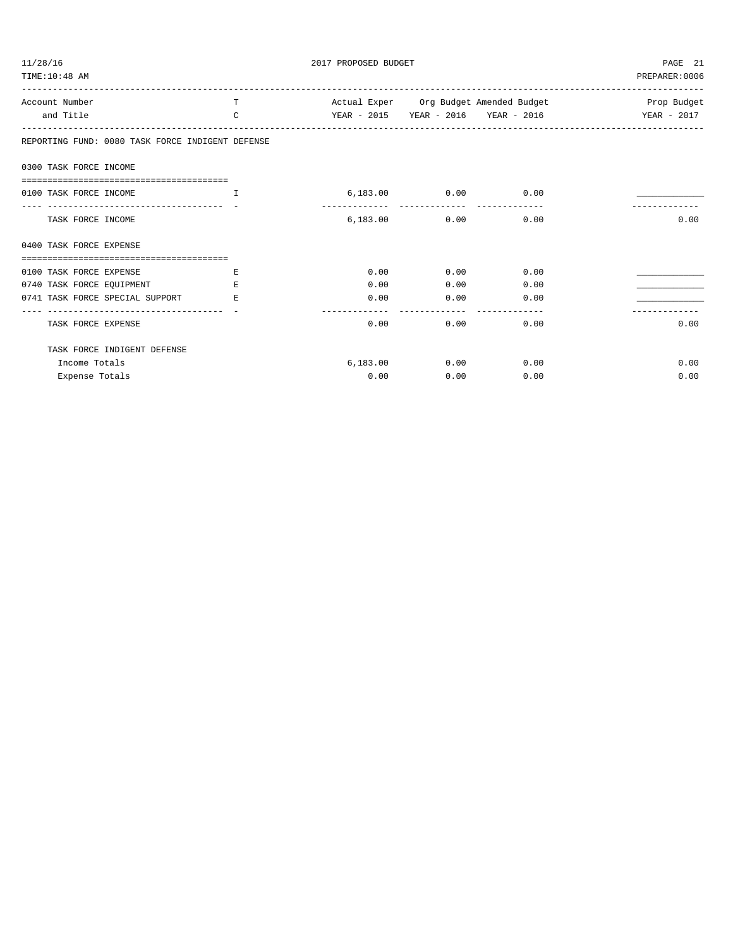| 11/28/16<br>2017 PROPOSED BUDGET<br>TIME: 10:48 AM               |               |          |                      |                                     | PAGE 21<br>PREPARER: 0006                                   |  |
|------------------------------------------------------------------|---------------|----------|----------------------|-------------------------------------|-------------------------------------------------------------|--|
| Account Number                                                   | T             |          |                      |                                     | Actual Exper Org Budget Amended Budget The Same Prop Budget |  |
| and Title                                                        | $\mathcal{C}$ |          |                      | YEAR - 2015 YEAR - 2016 YEAR - 2016 | YEAR - 2017                                                 |  |
| REPORTING FUND: 0080 TASK FORCE INDIGENT DEFENSE                 |               |          |                      |                                     |                                                             |  |
| 0300 TASK FORCE INCOME                                           |               |          |                      |                                     |                                                             |  |
| -----------------------------------<br>0100 TASK FORCE INCOME    | <b>T</b>      |          | $6,183.00$ 0.00 0.00 |                                     |                                                             |  |
| ----------------------------------<br>TASK FORCE INCOME          |               |          | 6,183.00 0.00        | 0.00                                | 0.00                                                        |  |
| 0400 TASK FORCE EXPENSE<br>===================================== |               |          |                      |                                     |                                                             |  |
| 0100 TASK FORCE EXPENSE                                          | E.            | 0.00     | 0.00                 | 0.00                                |                                                             |  |
| 0740 TASK FORCE EOUIPMENT                                        | E.            | 0.00     | 0.00                 | 0.00                                |                                                             |  |
| 0741 TASK FORCE SPECIAL SUPPORT                                  | E.            | 0.00     | 0.00                 | 0.00                                |                                                             |  |
| TASK FORCE EXPENSE                                               |               | 0.00     | 0.00                 | 0.00                                | 0.00                                                        |  |
| TASK FORCE INDIGENT DEFENSE                                      |               |          |                      |                                     |                                                             |  |
| Income Totals                                                    |               | 6.183.00 | 0.00                 | 0.00                                | 0.00                                                        |  |
| Expense Totals                                                   |               | 0.00     | 0.00                 | 0.00                                | 0.00                                                        |  |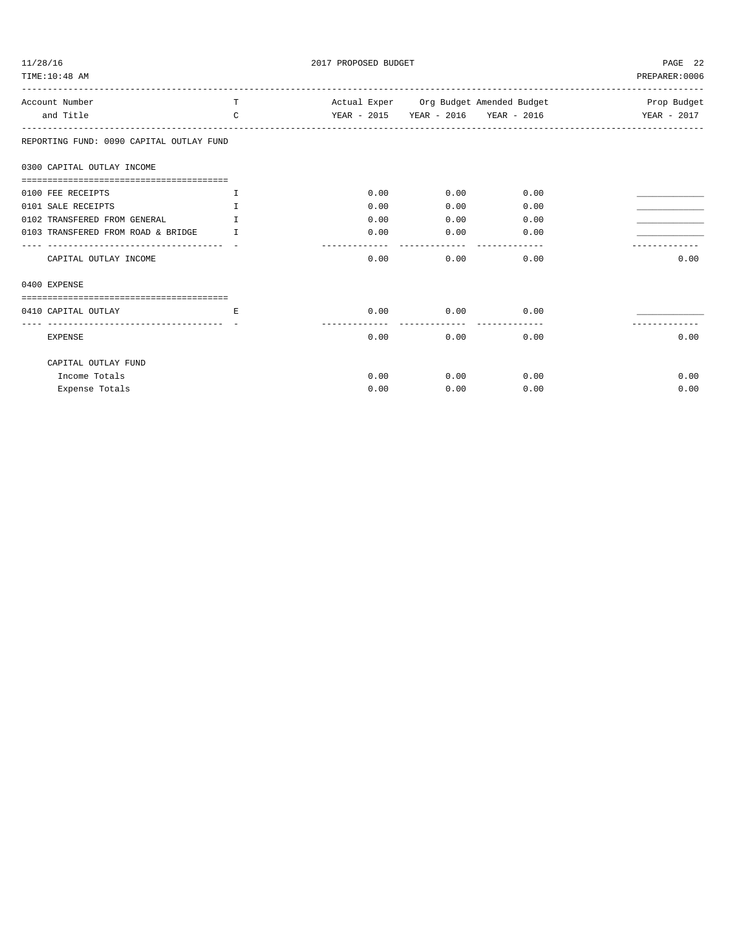| 11/28/16<br>TIME: 10:48 AM               | 2017 PROPOSED BUDGET |                       |      | PAGE 22<br>PREPARER: 0006 |                                                                     |
|------------------------------------------|----------------------|-----------------------|------|---------------------------|---------------------------------------------------------------------|
| Account Number                           | T.                   |                       |      |                           | Actual Exper Org Budget Amended Budget National Company Prop Budget |
| and Title                                | $\mathcal{C}$        |                       |      |                           | YEAR - 2015 YEAR - 2016 YEAR - 2016 YEAR - 2017                     |
| REPORTING FUND: 0090 CAPITAL OUTLAY FUND |                      |                       |      |                           |                                                                     |
| 0300 CAPITAL OUTLAY INCOME               |                      |                       |      |                           |                                                                     |
| 0100 FEE RECEIPTS                        | $\mathbf{T}$         | 0.00                  | 0.00 | 0.00                      |                                                                     |
| 0101 SALE RECEIPTS                       | $\mathbb{T}$         | 0.00                  | 0.00 | 0.00                      |                                                                     |
| 0102 TRANSFERED FROM GENERAL             | $\mathbb{T}$         | 0.00                  | 0.00 | 0.00                      |                                                                     |
| 0103 TRANSFERED FROM ROAD & BRIDGE T     |                      | 0.00                  | 0.00 | 0.00                      |                                                                     |
| CAPITAL OUTLAY INCOME                    |                      | $\frac{1}{2}$<br>0.00 | 0.00 | 0.00                      | 0.00                                                                |
| 0400 EXPENSE                             |                      |                       |      |                           |                                                                     |
|                                          |                      |                       |      |                           |                                                                     |
| 0410 CAPITAL OUTLAY                      | E.                   | 0.00                  | 0.00 | 0.00                      |                                                                     |
|                                          |                      |                       |      |                           |                                                                     |
| <b>EXPENSE</b>                           |                      | 0.00                  | 0.00 | 0.00                      | 0.00                                                                |
| CAPITAL OUTLAY FUND                      |                      |                       |      |                           |                                                                     |
| Income Totals                            |                      | 0.00                  | 0.00 | 0.00                      | 0.00                                                                |
| Expense Totals                           |                      | 0.00                  | 0.00 | 0.00                      | 0.00                                                                |